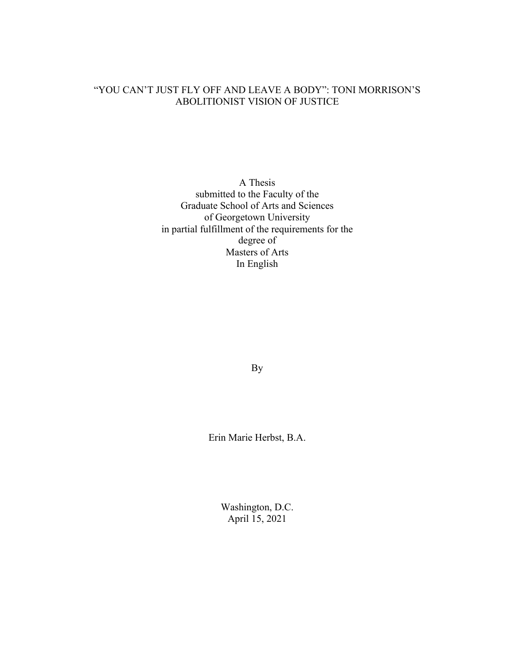## "YOU CAN'T JUST FLY OFF AND LEAVE A BODY": TONI MORRISON'S ABOLITIONIST VISION OF JUSTICE

A Thesis submitted to the Faculty of the Graduate School of Arts and Sciences of Georgetown University in partial fulfillment of the requirements for the degree of Masters of Arts In English

By

Erin Marie Herbst, B.A.

Washington, D.C. April 15, 2021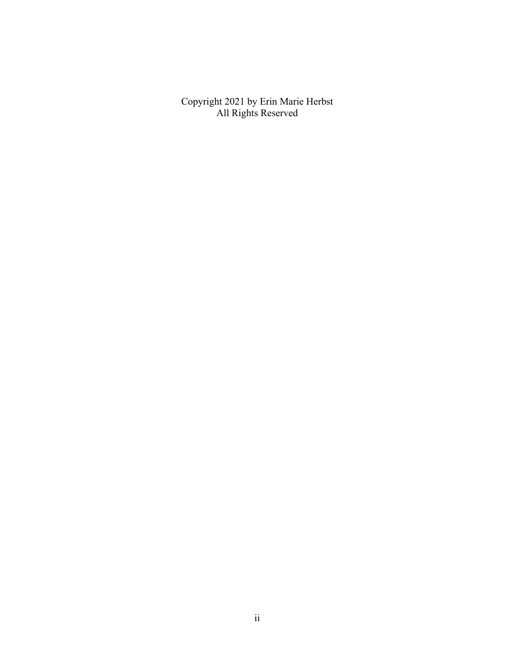Copyright 2021 by Erin Marie Herbst All Rights Reserved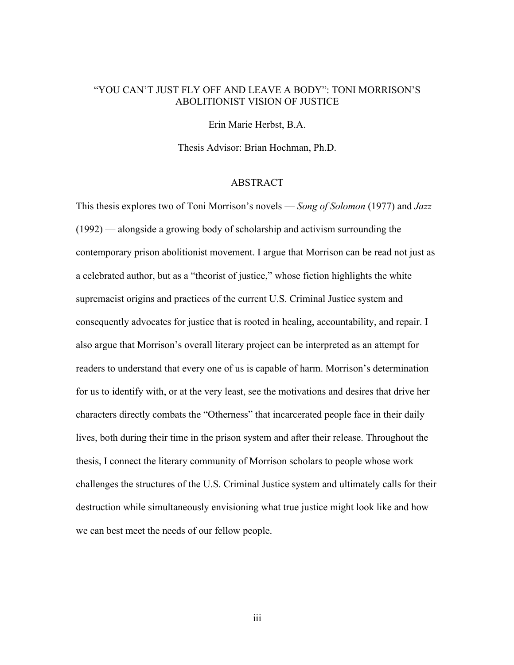## "YOU CAN'T JUST FLY OFF AND LEAVE A BODY": TONI MORRISON'S ABOLITIONIST VISION OF JUSTICE

Erin Marie Herbst, B.A.

Thesis Advisor: Brian Hochman, Ph.D.

### ABSTRACT

This thesis explores two of Toni Morrison's novels — *Song of Solomon* (1977) and *Jazz*  (1992) — alongside a growing body of scholarship and activism surrounding the contemporary prison abolitionist movement. I argue that Morrison can be read not just as a celebrated author, but as a "theorist of justice," whose fiction highlights the white supremacist origins and practices of the current U.S. Criminal Justice system and consequently advocates for justice that is rooted in healing, accountability, and repair. I also argue that Morrison's overall literary project can be interpreted as an attempt for readers to understand that every one of us is capable of harm. Morrison's determination for us to identify with, or at the very least, see the motivations and desires that drive her characters directly combats the "Otherness" that incarcerated people face in their daily lives, both during their time in the prison system and after their release. Throughout the thesis, I connect the literary community of Morrison scholars to people whose work challenges the structures of the U.S. Criminal Justice system and ultimately calls for their destruction while simultaneously envisioning what true justice might look like and how we can best meet the needs of our fellow people.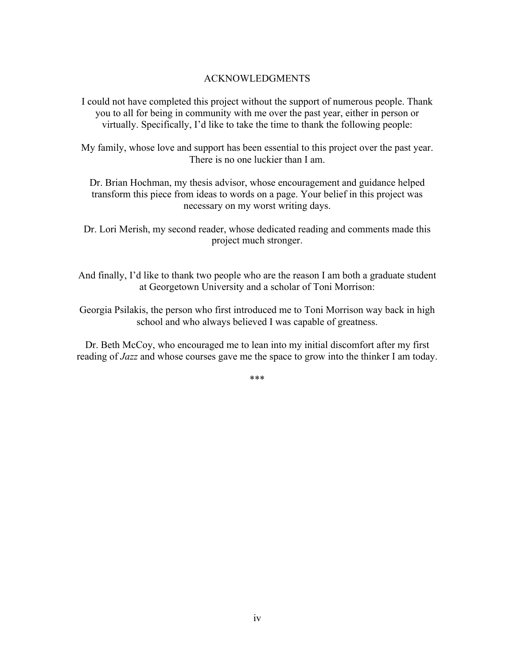## ACKNOWLEDGMENTS

I could not have completed this project without the support of numerous people. Thank you to all for being in community with me over the past year, either in person or virtually. Specifically, I'd like to take the time to thank the following people:

My family, whose love and support has been essential to this project over the past year. There is no one luckier than I am.

Dr. Brian Hochman, my thesis advisor, whose encouragement and guidance helped transform this piece from ideas to words on a page. Your belief in this project was necessary on my worst writing days.

Dr. Lori Merish, my second reader, whose dedicated reading and comments made this project much stronger.

And finally, I'd like to thank two people who are the reason I am both a graduate student at Georgetown University and a scholar of Toni Morrison:

Georgia Psilakis, the person who first introduced me to Toni Morrison way back in high school and who always believed I was capable of greatness.

Dr. Beth McCoy, who encouraged me to lean into my initial discomfort after my first reading of *Jazz* and whose courses gave me the space to grow into the thinker I am today.

\*\*\*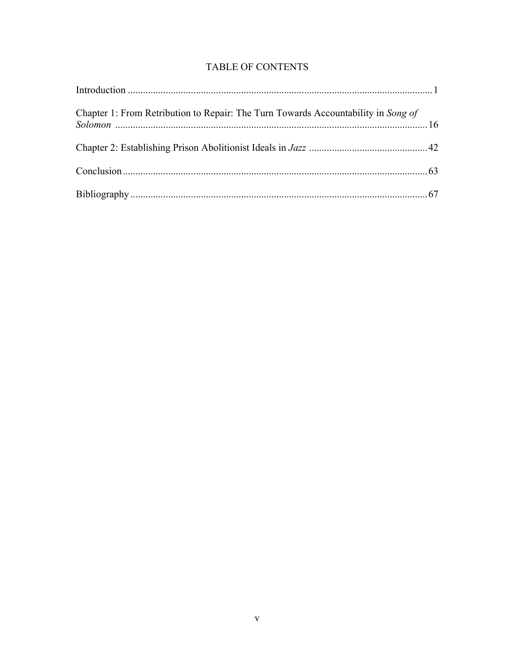## TABLE OF CONTENTS

| Chapter 1: From Retribution to Repair: The Turn Towards Accountability in Song of |  |
|-----------------------------------------------------------------------------------|--|
|                                                                                   |  |
|                                                                                   |  |
|                                                                                   |  |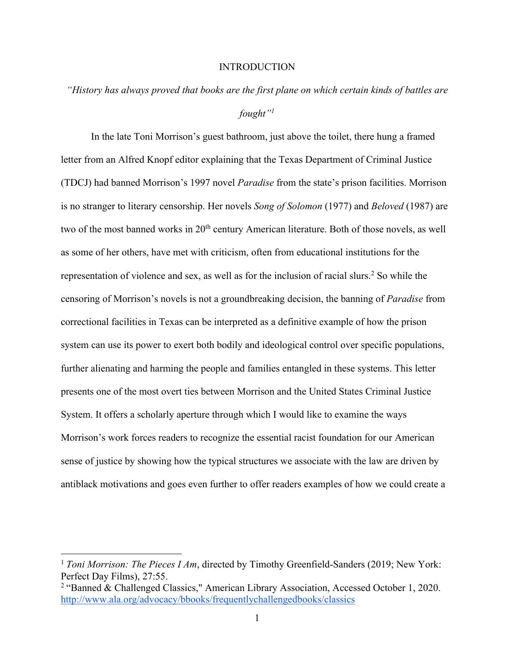### **INTRODUCTION**

# *"History has always proved that books are the first plane on which certain kinds of battles are fought"1*

In the late Toni Morrison's guest bathroom, just above the toilet, there hung a framed letter from an Alfred Knopf editor explaining that the Texas Department of Criminal Justice (TDCJ) had banned Morrison's 1997 novel *Paradise* from the state's prison facilities. Morrison is no stranger to literary censorship. Her novels *Song of Solomon* (1977) and *Beloved* (1987) are two of the most banned works in 20<sup>th</sup> century American literature. Both of those novels, as well as some of her others, have met with criticism, often from educational institutions for the representation of violence and sex, as well as for the inclusion of racial slurs.<sup>2</sup> So while the censoring of Morrison's novels is not a groundbreaking decision, the banning of *Paradise* from correctional facilities in Texas can be interpreted as a definitive example of how the prison system can use its power to exert both bodily and ideological control over specific populations, further alienating and harming the people and families entangled in these systems. This letter presents one of the most overt ties between Morrison and the United States Criminal Justice System. It offers a scholarly aperture through which I would like to examine the ways Morrison's work forces readers to recognize the essential racist foundation for our American sense of justice by showing how the typical structures we associate with the law are driven by antiblack motivations and goes even further to offer readers examples of how we could create a

<sup>&</sup>lt;sup>1</sup> *Toni Morrison: The Pieces I Am*, directed by Timothy Greenfield-Sanders (2019; New York: Perfect Day Films), 27:55.

<sup>2</sup> "Banned & Challenged Classics," American Library Association, Accessed October 1, 2020. http://www.ala.org/advocacy/bbooks/frequentlychallengedbooks/classics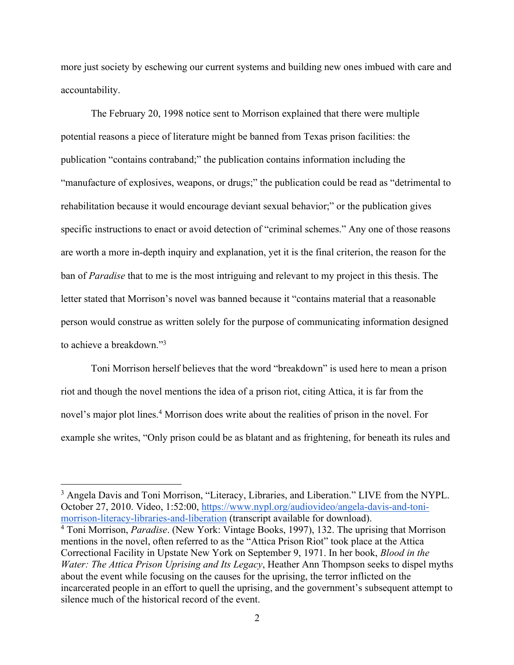more just society by eschewing our current systems and building new ones imbued with care and accountability.

The February 20, 1998 notice sent to Morrison explained that there were multiple potential reasons a piece of literature might be banned from Texas prison facilities: the publication "contains contraband;" the publication contains information including the "manufacture of explosives, weapons, or drugs;" the publication could be read as "detrimental to rehabilitation because it would encourage deviant sexual behavior;" or the publication gives specific instructions to enact or avoid detection of "criminal schemes." Any one of those reasons are worth a more in-depth inquiry and explanation, yet it is the final criterion, the reason for the ban of *Paradise* that to me is the most intriguing and relevant to my project in this thesis. The letter stated that Morrison's novel was banned because it "contains material that a reasonable person would construe as written solely for the purpose of communicating information designed to achieve a breakdown."3

Toni Morrison herself believes that the word "breakdown" is used here to mean a prison riot and though the novel mentions the idea of a prison riot, citing Attica, it is far from the novel's major plot lines.<sup>4</sup> Morrison does write about the realities of prison in the novel. For example she writes, "Only prison could be as blatant and as frightening, for beneath its rules and

<sup>&</sup>lt;sup>3</sup> Angela Davis and Toni Morrison, "Literacy, Libraries, and Liberation." LIVE from the NYPL. October 27, 2010. Video, 1:52:00, https://www.nypl.org/audiovideo/angela-davis-and-tonimorrison-literacy-libraries-and-liberation (transcript available for download).

<sup>4</sup> Toni Morrison, *Paradise*. (New York: Vintage Books, 1997), 132. The uprising that Morrison mentions in the novel, often referred to as the "Attica Prison Riot" took place at the Attica Correctional Facility in Upstate New York on September 9, 1971. In her book, *Blood in the Water: The Attica Prison Uprising and Its Legacy*, Heather Ann Thompson seeks to dispel myths about the event while focusing on the causes for the uprising, the terror inflicted on the incarcerated people in an effort to quell the uprising, and the government's subsequent attempt to silence much of the historical record of the event.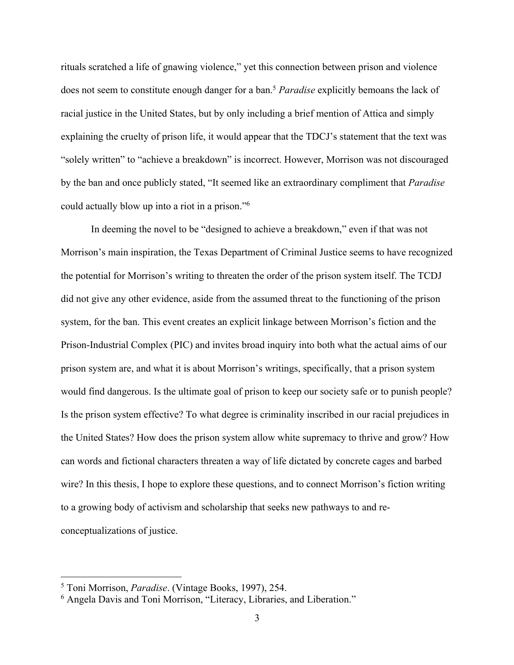rituals scratched a life of gnawing violence," yet this connection between prison and violence does not seem to constitute enough danger for a ban.5 *Paradise* explicitly bemoans the lack of racial justice in the United States, but by only including a brief mention of Attica and simply explaining the cruelty of prison life, it would appear that the TDCJ's statement that the text was "solely written" to "achieve a breakdown" is incorrect. However, Morrison was not discouraged by the ban and once publicly stated, "It seemed like an extraordinary compliment that *Paradise*  could actually blow up into a riot in a prison."6

In deeming the novel to be "designed to achieve a breakdown," even if that was not Morrison's main inspiration, the Texas Department of Criminal Justice seems to have recognized the potential for Morrison's writing to threaten the order of the prison system itself. The TCDJ did not give any other evidence, aside from the assumed threat to the functioning of the prison system, for the ban. This event creates an explicit linkage between Morrison's fiction and the Prison-Industrial Complex (PIC) and invites broad inquiry into both what the actual aims of our prison system are, and what it is about Morrison's writings, specifically, that a prison system would find dangerous. Is the ultimate goal of prison to keep our society safe or to punish people? Is the prison system effective? To what degree is criminality inscribed in our racial prejudices in the United States? How does the prison system allow white supremacy to thrive and grow? How can words and fictional characters threaten a way of life dictated by concrete cages and barbed wire? In this thesis, I hope to explore these questions, and to connect Morrison's fiction writing to a growing body of activism and scholarship that seeks new pathways to and reconceptualizations of justice.

<sup>5</sup> Toni Morrison, *Paradise*. (Vintage Books, 1997), 254.

<sup>&</sup>lt;sup>6</sup> Angela Davis and Toni Morrison, "Literacy, Libraries, and Liberation."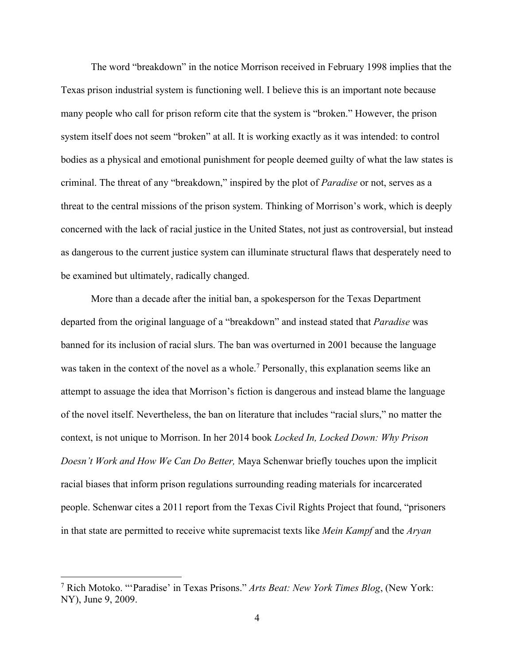The word "breakdown" in the notice Morrison received in February 1998 implies that the Texas prison industrial system is functioning well. I believe this is an important note because many people who call for prison reform cite that the system is "broken." However, the prison system itself does not seem "broken" at all. It is working exactly as it was intended: to control bodies as a physical and emotional punishment for people deemed guilty of what the law states is criminal. The threat of any "breakdown," inspired by the plot of *Paradise* or not, serves as a threat to the central missions of the prison system. Thinking of Morrison's work, which is deeply concerned with the lack of racial justice in the United States, not just as controversial, but instead as dangerous to the current justice system can illuminate structural flaws that desperately need to be examined but ultimately, radically changed.

More than a decade after the initial ban, a spokesperson for the Texas Department departed from the original language of a "breakdown" and instead stated that *Paradise* was banned for its inclusion of racial slurs. The ban was overturned in 2001 because the language was taken in the context of the novel as a whole.<sup>7</sup> Personally, this explanation seems like an attempt to assuage the idea that Morrison's fiction is dangerous and instead blame the language of the novel itself. Nevertheless, the ban on literature that includes "racial slurs," no matter the context, is not unique to Morrison. In her 2014 book *Locked In, Locked Down: Why Prison Doesn't Work and How We Can Do Better,* Maya Schenwar briefly touches upon the implicit racial biases that inform prison regulations surrounding reading materials for incarcerated people. Schenwar cites a 2011 report from the Texas Civil Rights Project that found, "prisoners in that state are permitted to receive white supremacist texts like *Mein Kampf* and the *Aryan* 

<sup>7</sup> Rich Motoko. "'Paradise' in Texas Prisons." *Arts Beat: New York Times Blog*, (New York: NY), June 9, 2009.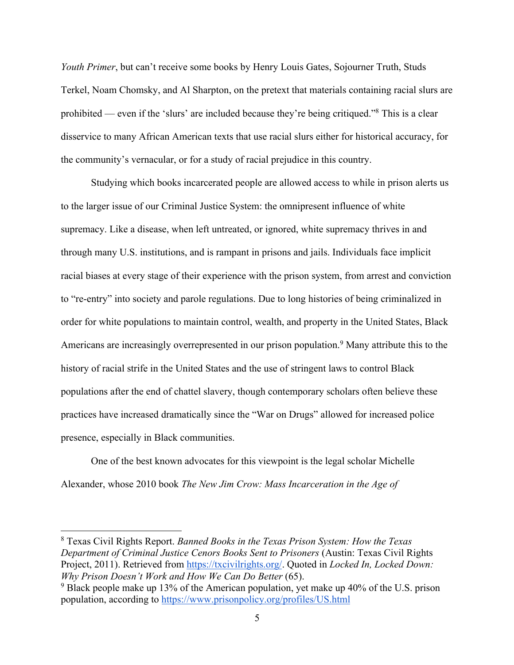*Youth Primer*, but can't receive some books by Henry Louis Gates, Sojourner Truth, Studs Terkel, Noam Chomsky, and Al Sharpton, on the pretext that materials containing racial slurs are prohibited — even if the 'slurs' are included because they're being critiqued."8 This is a clear disservice to many African American texts that use racial slurs either for historical accuracy, for the community's vernacular, or for a study of racial prejudice in this country.

Studying which books incarcerated people are allowed access to while in prison alerts us to the larger issue of our Criminal Justice System: the omnipresent influence of white supremacy. Like a disease, when left untreated, or ignored, white supremacy thrives in and through many U.S. institutions, and is rampant in prisons and jails. Individuals face implicit racial biases at every stage of their experience with the prison system, from arrest and conviction to "re-entry" into society and parole regulations. Due to long histories of being criminalized in order for white populations to maintain control, wealth, and property in the United States, Black Americans are increasingly overrepresented in our prison population.<sup>9</sup> Many attribute this to the history of racial strife in the United States and the use of stringent laws to control Black populations after the end of chattel slavery, though contemporary scholars often believe these practices have increased dramatically since the "War on Drugs" allowed for increased police presence, especially in Black communities.

One of the best known advocates for this viewpoint is the legal scholar Michelle Alexander, whose 2010 book *The New Jim Crow: Mass Incarceration in the Age of* 

<sup>8</sup> Texas Civil Rights Report. *Banned Books in the Texas Prison System: How the Texas Department of Criminal Justice Cenors Books Sent to Prisoners* (Austin: Texas Civil Rights Project, 2011). Retrieved from https://txcivilrights.org/. Quoted in *Locked In, Locked Down: Why Prison Doesn't Work and How We Can Do Better* (65).

<sup>&</sup>lt;sup>9</sup> Black people make up 13% of the American population, yet make up 40% of the U.S. prison population, according to https://www.prisonpolicy.org/profiles/US.html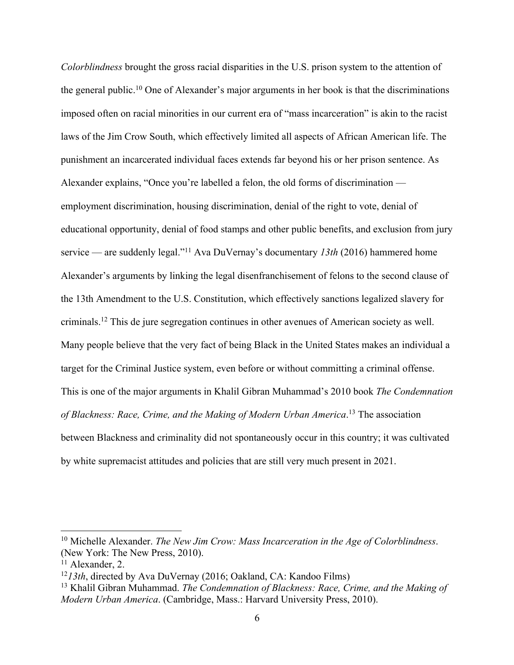*Colorblindness* brought the gross racial disparities in the U.S. prison system to the attention of the general public.<sup>10</sup> One of Alexander's major arguments in her book is that the discriminations imposed often on racial minorities in our current era of "mass incarceration" is akin to the racist laws of the Jim Crow South, which effectively limited all aspects of African American life. The punishment an incarcerated individual faces extends far beyond his or her prison sentence. As Alexander explains, "Once you're labelled a felon, the old forms of discrimination employment discrimination, housing discrimination, denial of the right to vote, denial of educational opportunity, denial of food stamps and other public benefits, and exclusion from jury service — are suddenly legal."11 Ava DuVernay's documentary *13th* (2016) hammered home Alexander's arguments by linking the legal disenfranchisement of felons to the second clause of the 13th Amendment to the U.S. Constitution, which effectively sanctions legalized slavery for criminals.12 This de jure segregation continues in other avenues of American society as well. Many people believe that the very fact of being Black in the United States makes an individual a target for the Criminal Justice system, even before or without committing a criminal offense. This is one of the major arguments in Khalil Gibran Muhammad's 2010 book *The Condemnation of Blackness: Race, Crime, and the Making of Modern Urban America*. <sup>13</sup> The association between Blackness and criminality did not spontaneously occur in this country; it was cultivated by white supremacist attitudes and policies that are still very much present in 2021.

<sup>10</sup> Michelle Alexander. *The New Jim Crow: Mass Incarceration in the Age of Colorblindness*. (New York: The New Press, 2010).

<sup>&</sup>lt;sup>11</sup> Alexander, 2.

<sup>12</sup>*13th*, directed by Ava DuVernay (2016; Oakland, CA: Kandoo Films)

<sup>13</sup> Khalil Gibran Muhammad. *The Condemnation of Blackness: Race, Crime, and the Making of Modern Urban America*. (Cambridge, Mass.: Harvard University Press, 2010).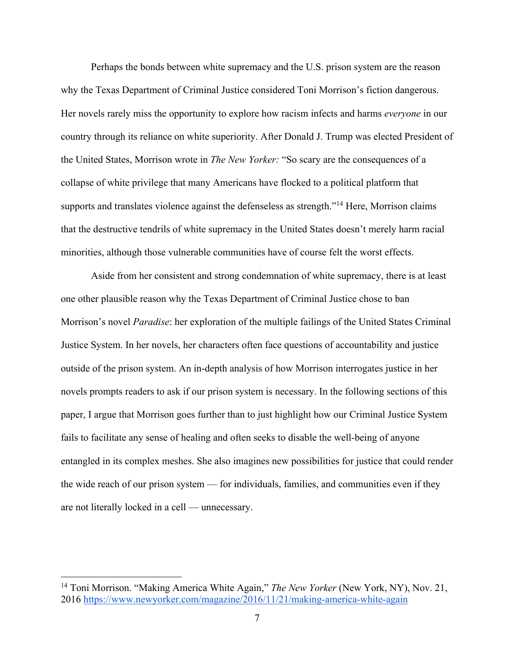Perhaps the bonds between white supremacy and the U.S. prison system are the reason why the Texas Department of Criminal Justice considered Toni Morrison's fiction dangerous. Her novels rarely miss the opportunity to explore how racism infects and harms *everyone* in our country through its reliance on white superiority. After Donald J. Trump was elected President of the United States, Morrison wrote in *The New Yorker:* "So scary are the consequences of a collapse of white privilege that many Americans have flocked to a political platform that supports and translates violence against the defenseless as strength."<sup>14</sup> Here, Morrison claims that the destructive tendrils of white supremacy in the United States doesn't merely harm racial minorities, although those vulnerable communities have of course felt the worst effects.

Aside from her consistent and strong condemnation of white supremacy, there is at least one other plausible reason why the Texas Department of Criminal Justice chose to ban Morrison's novel *Paradise*: her exploration of the multiple failings of the United States Criminal Justice System. In her novels, her characters often face questions of accountability and justice outside of the prison system. An in-depth analysis of how Morrison interrogates justice in her novels prompts readers to ask if our prison system is necessary. In the following sections of this paper, I argue that Morrison goes further than to just highlight how our Criminal Justice System fails to facilitate any sense of healing and often seeks to disable the well-being of anyone entangled in its complex meshes. She also imagines new possibilities for justice that could render the wide reach of our prison system — for individuals, families, and communities even if they are not literally locked in a cell — unnecessary.

<sup>14</sup> Toni Morrison. "Making America White Again," *The New Yorker* (New York, NY), Nov. 21, 2016 https://www.newyorker.com/magazine/2016/11/21/making-america-white-again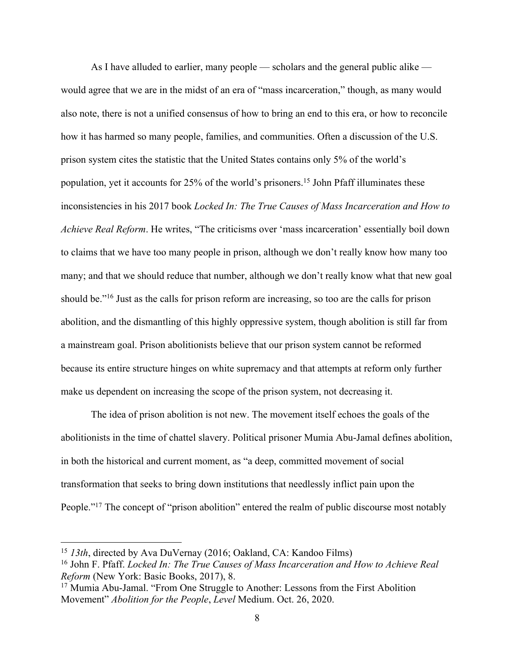As I have alluded to earlier, many people — scholars and the general public alike would agree that we are in the midst of an era of "mass incarceration," though, as many would also note, there is not a unified consensus of how to bring an end to this era, or how to reconcile how it has harmed so many people, families, and communities. Often a discussion of the U.S. prison system cites the statistic that the United States contains only 5% of the world's population, yet it accounts for 25% of the world's prisoners.15 John Pfaff illuminates these inconsistencies in his 2017 book *Locked In: The True Causes of Mass Incarceration and How to Achieve Real Reform*. He writes, "The criticisms over 'mass incarceration' essentially boil down to claims that we have too many people in prison, although we don't really know how many too many; and that we should reduce that number, although we don't really know what that new goal should be."16 Just as the calls for prison reform are increasing, so too are the calls for prison abolition, and the dismantling of this highly oppressive system, though abolition is still far from a mainstream goal. Prison abolitionists believe that our prison system cannot be reformed because its entire structure hinges on white supremacy and that attempts at reform only further make us dependent on increasing the scope of the prison system, not decreasing it.

The idea of prison abolition is not new. The movement itself echoes the goals of the abolitionists in the time of chattel slavery. Political prisoner Mumia Abu-Jamal defines abolition, in both the historical and current moment, as "a deep, committed movement of social transformation that seeks to bring down institutions that needlessly inflict pain upon the People."<sup>17</sup> The concept of "prison abolition" entered the realm of public discourse most notably

<sup>15</sup> *13th*, directed by Ava DuVernay (2016; Oakland, CA: Kandoo Films)

<sup>16</sup> John F. Pfaff. *Locked In: The True Causes of Mass Incarceration and How to Achieve Real Reform* (New York: Basic Books, 2017), 8.

<sup>&</sup>lt;sup>17</sup> Mumia Abu-Jamal. "From One Struggle to Another: Lessons from the First Abolition Movement" *Abolition for the People*, *Level* Medium. Oct. 26, 2020.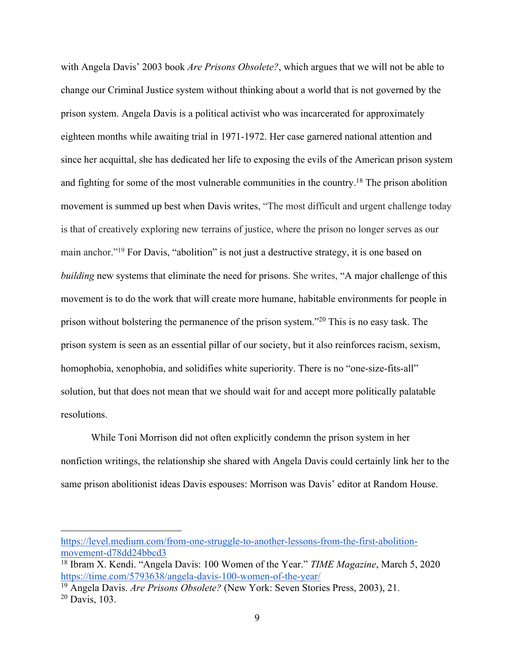with Angela Davis' 2003 book *Are Prisons Obsolete?*, which argues that we will not be able to change our Criminal Justice system without thinking about a world that is not governed by the prison system. Angela Davis is a political activist who was incarcerated for approximately eighteen months while awaiting trial in 1971-1972. Her case garnered national attention and since her acquittal, she has dedicated her life to exposing the evils of the American prison system and fighting for some of the most vulnerable communities in the country.<sup>18</sup> The prison abolition movement is summed up best when Davis writes, "The most difficult and urgent challenge today is that of creatively exploring new terrains of justice, where the prison no longer serves as our main anchor."<sup>19</sup> For Davis, "abolition" is not just a destructive strategy, it is one based on *building* new systems that eliminate the need for prisons. She writes, "A major challenge of this movement is to do the work that will create more humane, habitable environments for people in prison without bolstering the permanence of the prison system."20 This is no easy task. The prison system is seen as an essential pillar of our society, but it also reinforces racism, sexism, homophobia, xenophobia, and solidifies white superiority. There is no "one-size-fits-all" solution, but that does not mean that we should wait for and accept more politically palatable resolutions.

While Toni Morrison did not often explicitly condemn the prison system in her nonfiction writings, the relationship she shared with Angela Davis could certainly link her to the same prison abolitionist ideas Davis espouses: Morrison was Davis' editor at Random House.

https://level.medium.com/from-one-struggle-to-another-lessons-from-the-first-abolitionmovement-d78dd24bbcd3

<sup>18</sup> Ibram X. Kendi. "Angela Davis: 100 Women of the Year." *TIME Magazine*, March 5, 2020 https://time.com/5793638/angela-davis-100-women-of-the-year/

<sup>19</sup> Angela Davis. *Are Prisons Obsolete?* (New York: Seven Stories Press, 2003), 21. <sup>20</sup> Davis, 103.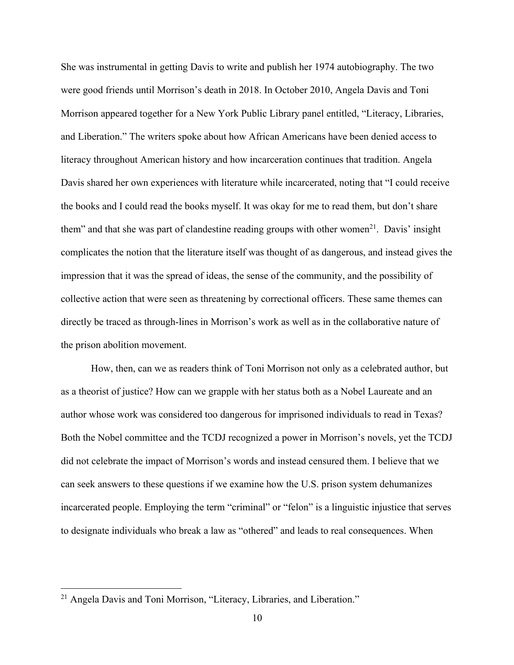She was instrumental in getting Davis to write and publish her 1974 autobiography. The two were good friends until Morrison's death in 2018. In October 2010, Angela Davis and Toni Morrison appeared together for a New York Public Library panel entitled, "Literacy, Libraries, and Liberation." The writers spoke about how African Americans have been denied access to literacy throughout American history and how incarceration continues that tradition. Angela Davis shared her own experiences with literature while incarcerated, noting that "I could receive the books and I could read the books myself. It was okay for me to read them, but don't share them" and that she was part of clandestine reading groups with other women<sup>21</sup>. Davis' insight complicates the notion that the literature itself was thought of as dangerous, and instead gives the impression that it was the spread of ideas, the sense of the community, and the possibility of collective action that were seen as threatening by correctional officers. These same themes can directly be traced as through-lines in Morrison's work as well as in the collaborative nature of the prison abolition movement.

How, then, can we as readers think of Toni Morrison not only as a celebrated author, but as a theorist of justice? How can we grapple with her status both as a Nobel Laureate and an author whose work was considered too dangerous for imprisoned individuals to read in Texas? Both the Nobel committee and the TCDJ recognized a power in Morrison's novels, yet the TCDJ did not celebrate the impact of Morrison's words and instead censured them. I believe that we can seek answers to these questions if we examine how the U.S. prison system dehumanizes incarcerated people. Employing the term "criminal" or "felon" is a linguistic injustice that serves to designate individuals who break a law as "othered" and leads to real consequences. When

<sup>&</sup>lt;sup>21</sup> Angela Davis and Toni Morrison, "Literacy, Libraries, and Liberation."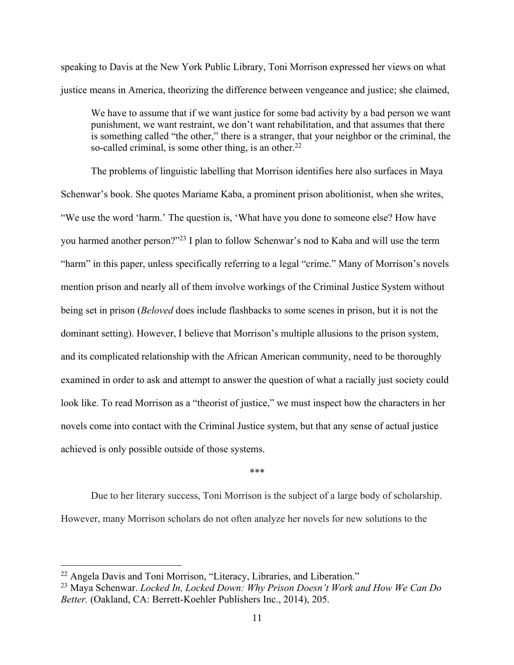speaking to Davis at the New York Public Library, Toni Morrison expressed her views on what justice means in America, theorizing the difference between vengeance and justice; she claimed,

We have to assume that if we want justice for some bad activity by a bad person we want punishment, we want restraint, we don't want rehabilitation, and that assumes that there is something called "the other," there is a stranger, that your neighbor or the criminal, the so-called criminal, is some other thing, is an other. $22$ 

The problems of linguistic labelling that Morrison identifies here also surfaces in Maya Schenwar's book. She quotes Mariame Kaba, a prominent prison abolitionist, when she writes, "We use the word 'harm.' The question is, 'What have you done to someone else? How have you harmed another person?"23 I plan to follow Schenwar's nod to Kaba and will use the term "harm" in this paper, unless specifically referring to a legal "crime." Many of Morrison's novels mention prison and nearly all of them involve workings of the Criminal Justice System without being set in prison (*Beloved* does include flashbacks to some scenes in prison, but it is not the dominant setting). However, I believe that Morrison's multiple allusions to the prison system, and its complicated relationship with the African American community, need to be thoroughly examined in order to ask and attempt to answer the question of what a racially just society could look like. To read Morrison as a "theorist of justice," we must inspect how the characters in her novels come into contact with the Criminal Justice system, but that any sense of actual justice achieved is only possible outside of those systems.

\*\*\*

Due to her literary success, Toni Morrison is the subject of a large body of scholarship. However, many Morrison scholars do not often analyze her novels for new solutions to the

<sup>&</sup>lt;sup>22</sup> Angela Davis and Toni Morrison, "Literacy, Libraries, and Liberation."

<sup>23</sup> Maya Schenwar. *Locked In, Locked Down: Why Prison Doesn't Work and How We Can Do Better.* (Oakland, CA: Berrett-Koehler Publishers Inc., 2014), 205.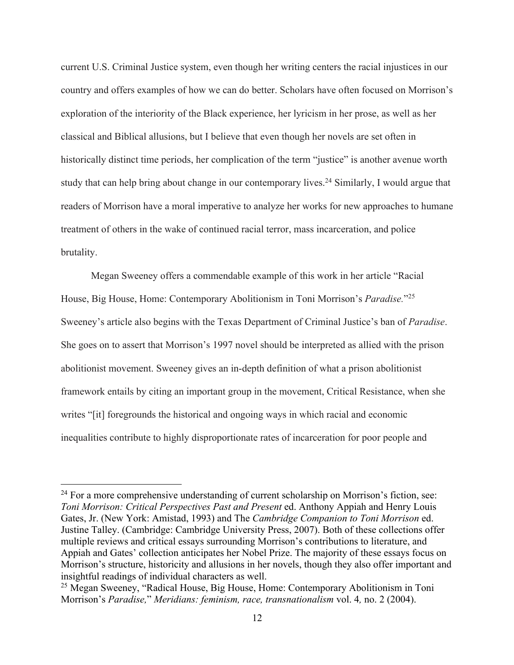current U.S. Criminal Justice system, even though her writing centers the racial injustices in our country and offers examples of how we can do better. Scholars have often focused on Morrison's exploration of the interiority of the Black experience, her lyricism in her prose, as well as her classical and Biblical allusions, but I believe that even though her novels are set often in historically distinct time periods, her complication of the term "justice" is another avenue worth study that can help bring about change in our contemporary lives.<sup>24</sup> Similarly, I would argue that readers of Morrison have a moral imperative to analyze her works for new approaches to humane treatment of others in the wake of continued racial terror, mass incarceration, and police brutality.

Megan Sweeney offers a commendable example of this work in her article "Racial House, Big House, Home: Contemporary Abolitionism in Toni Morrison's *Paradise.*"25 Sweeney's article also begins with the Texas Department of Criminal Justice's ban of *Paradise*. She goes on to assert that Morrison's 1997 novel should be interpreted as allied with the prison abolitionist movement. Sweeney gives an in-depth definition of what a prison abolitionist framework entails by citing an important group in the movement, Critical Resistance, when she writes "[it] foregrounds the historical and ongoing ways in which racial and economic inequalities contribute to highly disproportionate rates of incarceration for poor people and

 $24$  For a more comprehensive understanding of current scholarship on Morrison's fiction, see: *Toni Morrison: Critical Perspectives Past and Present* ed. Anthony Appiah and Henry Louis Gates, Jr. (New York: Amistad, 1993) and The *Cambridge Companion to Toni Morrison* ed. Justine Talley. (Cambridge: Cambridge University Press, 2007). Both of these collections offer multiple reviews and critical essays surrounding Morrison's contributions to literature, and Appiah and Gates' collection anticipates her Nobel Prize. The majority of these essays focus on Morrison's structure, historicity and allusions in her novels, though they also offer important and insightful readings of individual characters as well.

<sup>25</sup> Megan Sweeney, "Radical House, Big House, Home: Contemporary Abolitionism in Toni Morrison's *Paradise,*" *Meridians: feminism, race, transnationalism* vol. 4*,* no. 2 (2004).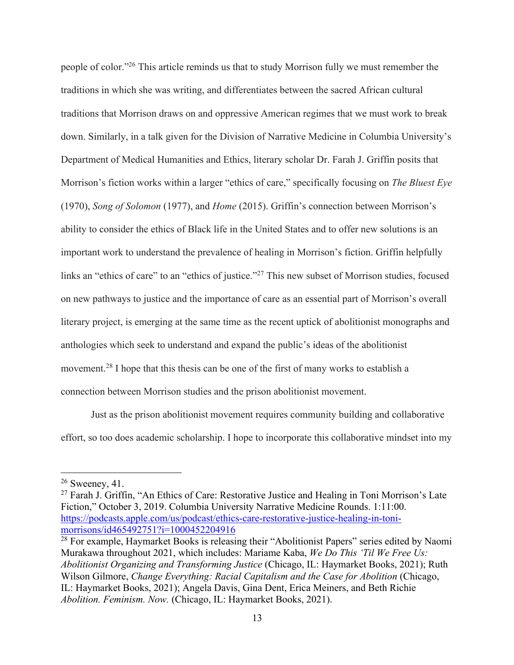people of color."26 This article reminds us that to study Morrison fully we must remember the traditions in which she was writing, and differentiates between the sacred African cultural traditions that Morrison draws on and oppressive American regimes that we must work to break down. Similarly, in a talk given for the Division of Narrative Medicine in Columbia University's Department of Medical Humanities and Ethics, literary scholar Dr. Farah J. Griffin posits that Morrison's fiction works within a larger "ethics of care," specifically focusing on *The Bluest Eye*  (1970), *Song of Solomon* (1977), and *Home* (2015). Griffin's connection between Morrison's ability to consider the ethics of Black life in the United States and to offer new solutions is an important work to understand the prevalence of healing in Morrison's fiction. Griffin helpfully links an "ethics of care" to an "ethics of justice."27 This new subset of Morrison studies, focused on new pathways to justice and the importance of care as an essential part of Morrison's overall literary project, is emerging at the same time as the recent uptick of abolitionist monographs and anthologies which seek to understand and expand the public's ideas of the abolitionist movement.28 I hope that this thesis can be one of the first of many works to establish a connection between Morrison studies and the prison abolitionist movement.

Just as the prison abolitionist movement requires community building and collaborative effort, so too does academic scholarship. I hope to incorporate this collaborative mindset into my

 $26$  Sweeney, 41.

<sup>&</sup>lt;sup>27</sup> Farah J. Griffin, "An Ethics of Care: Restorative Justice and Healing in Toni Morrison's Late Fiction," October 3, 2019. Columbia University Narrative Medicine Rounds. 1:11:00. https://podcasts.apple.com/us/podcast/ethics-care-restorative-justice-healing-in-tonimorrisons/id465492751?i=1000452204916

<sup>&</sup>lt;sup>28</sup> For example, Haymarket Books is releasing their "Abolitionist Papers" series edited by Naomi Murakawa throughout 2021, which includes: Mariame Kaba, *We Do This 'Til We Free Us: Abolitionist Organizing and Transforming Justice* (Chicago, IL: Haymarket Books, 2021); Ruth Wilson Gilmore, *Change Everything: Racial Capitalism and the Case for Abolition* (Chicago, IL: Haymarket Books, 2021); Angela Davis, Gina Dent, Erica Meiners, and Beth Richie *Abolition. Feminism. Now.* (Chicago, IL: Haymarket Books, 2021).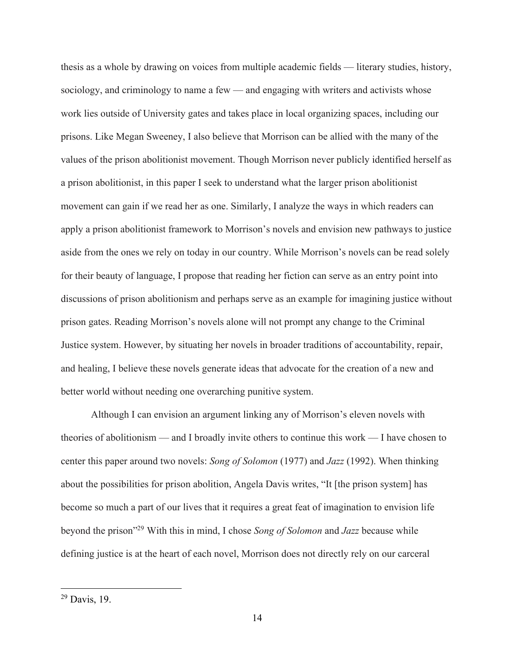thesis as a whole by drawing on voices from multiple academic fields — literary studies, history, sociology, and criminology to name a few — and engaging with writers and activists whose work lies outside of University gates and takes place in local organizing spaces, including our prisons. Like Megan Sweeney, I also believe that Morrison can be allied with the many of the values of the prison abolitionist movement. Though Morrison never publicly identified herself as a prison abolitionist, in this paper I seek to understand what the larger prison abolitionist movement can gain if we read her as one. Similarly, I analyze the ways in which readers can apply a prison abolitionist framework to Morrison's novels and envision new pathways to justice aside from the ones we rely on today in our country. While Morrison's novels can be read solely for their beauty of language, I propose that reading her fiction can serve as an entry point into discussions of prison abolitionism and perhaps serve as an example for imagining justice without prison gates. Reading Morrison's novels alone will not prompt any change to the Criminal Justice system. However, by situating her novels in broader traditions of accountability, repair, and healing, I believe these novels generate ideas that advocate for the creation of a new and better world without needing one overarching punitive system.

Although I can envision an argument linking any of Morrison's eleven novels with theories of abolitionism — and I broadly invite others to continue this work — I have chosen to center this paper around two novels: *Song of Solomon* (1977) and *Jazz* (1992). When thinking about the possibilities for prison abolition, Angela Davis writes, "It [the prison system] has become so much a part of our lives that it requires a great feat of imagination to envision life beyond the prison"29 With this in mind, I chose *Song of Solomon* and *Jazz* because while defining justice is at the heart of each novel, Morrison does not directly rely on our carceral

<sup>29</sup> Davis, 19.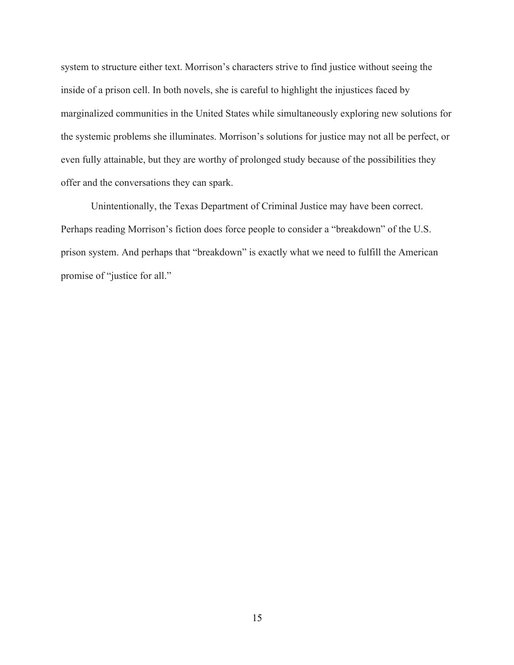system to structure either text. Morrison's characters strive to find justice without seeing the inside of a prison cell. In both novels, she is careful to highlight the injustices faced by marginalized communities in the United States while simultaneously exploring new solutions for the systemic problems she illuminates. Morrison's solutions for justice may not all be perfect, or even fully attainable, but they are worthy of prolonged study because of the possibilities they offer and the conversations they can spark.

Unintentionally, the Texas Department of Criminal Justice may have been correct. Perhaps reading Morrison's fiction does force people to consider a "breakdown" of the U.S. prison system. And perhaps that "breakdown" is exactly what we need to fulfill the American promise of "justice for all."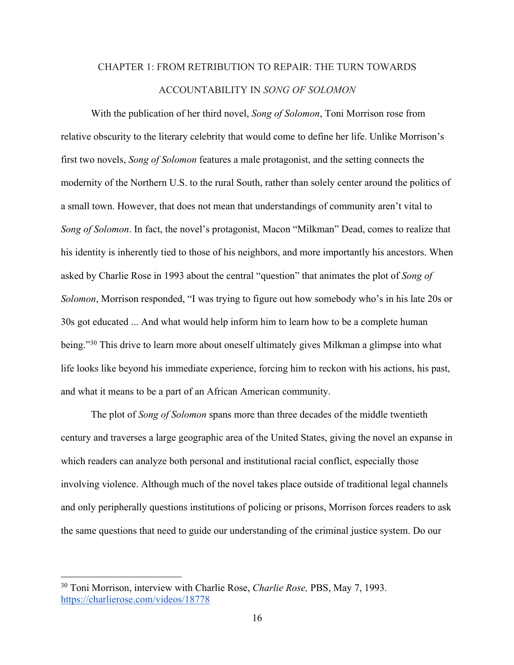## CHAPTER 1: FROM RETRIBUTION TO REPAIR: THE TURN TOWARDS ACCOUNTABILITY IN *SONG OF SOLOMON*

With the publication of her third novel, *Song of Solomon*, Toni Morrison rose from relative obscurity to the literary celebrity that would come to define her life. Unlike Morrison's first two novels, *Song of Solomon* features a male protagonist, and the setting connects the modernity of the Northern U.S. to the rural South, rather than solely center around the politics of a small town. However, that does not mean that understandings of community aren't vital to *Song of Solomon*. In fact, the novel's protagonist, Macon "Milkman" Dead, comes to realize that his identity is inherently tied to those of his neighbors, and more importantly his ancestors. When asked by Charlie Rose in 1993 about the central "question" that animates the plot of *Song of Solomon*, Morrison responded, "I was trying to figure out how somebody who's in his late 20s or 30s got educated ... And what would help inform him to learn how to be a complete human being."<sup>30</sup> This drive to learn more about oneself ultimately gives Milkman a glimpse into what life looks like beyond his immediate experience, forcing him to reckon with his actions, his past, and what it means to be a part of an African American community.

The plot of *Song of Solomon* spans more than three decades of the middle twentieth century and traverses a large geographic area of the United States, giving the novel an expanse in which readers can analyze both personal and institutional racial conflict, especially those involving violence. Although much of the novel takes place outside of traditional legal channels and only peripherally questions institutions of policing or prisons, Morrison forces readers to ask the same questions that need to guide our understanding of the criminal justice system. Do our

<sup>30</sup> Toni Morrison, interview with Charlie Rose, *Charlie Rose,* PBS, May 7, 1993. https://charlierose.com/videos/18778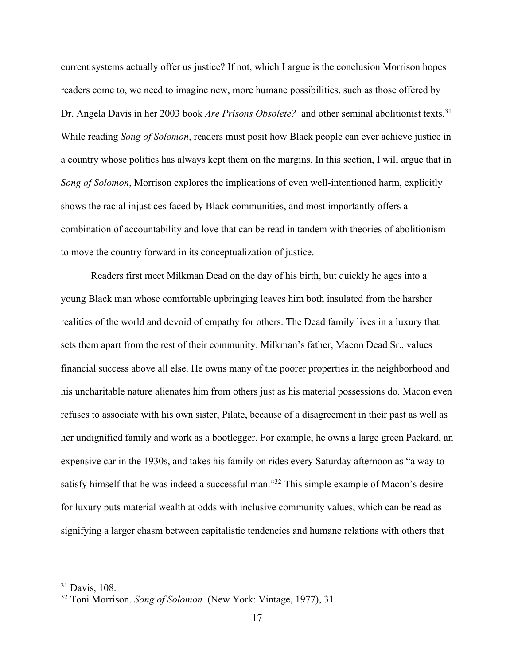current systems actually offer us justice? If not, which I argue is the conclusion Morrison hopes readers come to, we need to imagine new, more humane possibilities, such as those offered by Dr. Angela Davis in her 2003 book *Are Prisons Obsolete?* and other seminal abolitionist texts.<sup>31</sup> While reading *Song of Solomon*, readers must posit how Black people can ever achieve justice in a country whose politics has always kept them on the margins. In this section, I will argue that in *Song of Solomon*, Morrison explores the implications of even well-intentioned harm, explicitly shows the racial injustices faced by Black communities, and most importantly offers a combination of accountability and love that can be read in tandem with theories of abolitionism to move the country forward in its conceptualization of justice.

Readers first meet Milkman Dead on the day of his birth, but quickly he ages into a young Black man whose comfortable upbringing leaves him both insulated from the harsher realities of the world and devoid of empathy for others. The Dead family lives in a luxury that sets them apart from the rest of their community. Milkman's father, Macon Dead Sr., values financial success above all else. He owns many of the poorer properties in the neighborhood and his uncharitable nature alienates him from others just as his material possessions do. Macon even refuses to associate with his own sister, Pilate, because of a disagreement in their past as well as her undignified family and work as a bootlegger. For example, he owns a large green Packard, an expensive car in the 1930s, and takes his family on rides every Saturday afternoon as "a way to satisfy himself that he was indeed a successful man."<sup>32</sup> This simple example of Macon's desire for luxury puts material wealth at odds with inclusive community values, which can be read as signifying a larger chasm between capitalistic tendencies and humane relations with others that

<sup>31</sup> Davis, 108.

<sup>32</sup> Toni Morrison. *Song of Solomon.* (New York: Vintage, 1977), 31.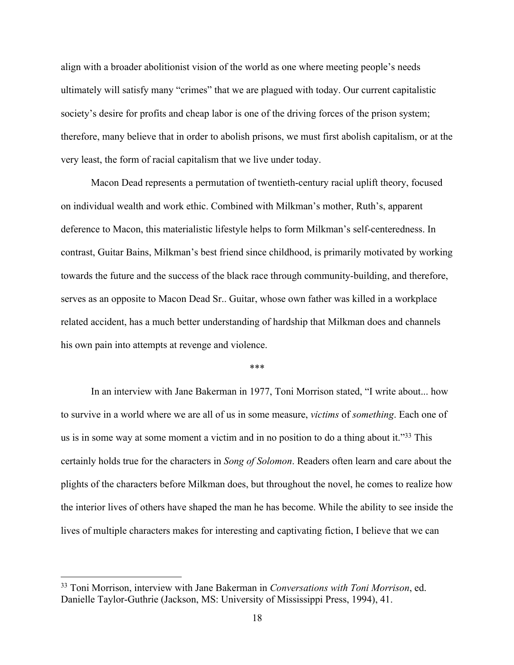align with a broader abolitionist vision of the world as one where meeting people's needs ultimately will satisfy many "crimes" that we are plagued with today. Our current capitalistic society's desire for profits and cheap labor is one of the driving forces of the prison system; therefore, many believe that in order to abolish prisons, we must first abolish capitalism, or at the very least, the form of racial capitalism that we live under today.

Macon Dead represents a permutation of twentieth-century racial uplift theory, focused on individual wealth and work ethic. Combined with Milkman's mother, Ruth's, apparent deference to Macon, this materialistic lifestyle helps to form Milkman's self-centeredness. In contrast, Guitar Bains, Milkman's best friend since childhood, is primarily motivated by working towards the future and the success of the black race through community-building, and therefore, serves as an opposite to Macon Dead Sr.. Guitar, whose own father was killed in a workplace related accident, has a much better understanding of hardship that Milkman does and channels his own pain into attempts at revenge and violence.

### \*\*\*

In an interview with Jane Bakerman in 1977, Toni Morrison stated, "I write about... how to survive in a world where we are all of us in some measure, *victims* of *something*. Each one of us is in some way at some moment a victim and in no position to do a thing about it."<sup>33</sup> This certainly holds true for the characters in *Song of Solomon*. Readers often learn and care about the plights of the characters before Milkman does, but throughout the novel, he comes to realize how the interior lives of others have shaped the man he has become. While the ability to see inside the lives of multiple characters makes for interesting and captivating fiction, I believe that we can

<sup>33</sup> Toni Morrison, interview with Jane Bakerman in *Conversations with Toni Morrison*, ed. Danielle Taylor-Guthrie (Jackson, MS: University of Mississippi Press, 1994), 41.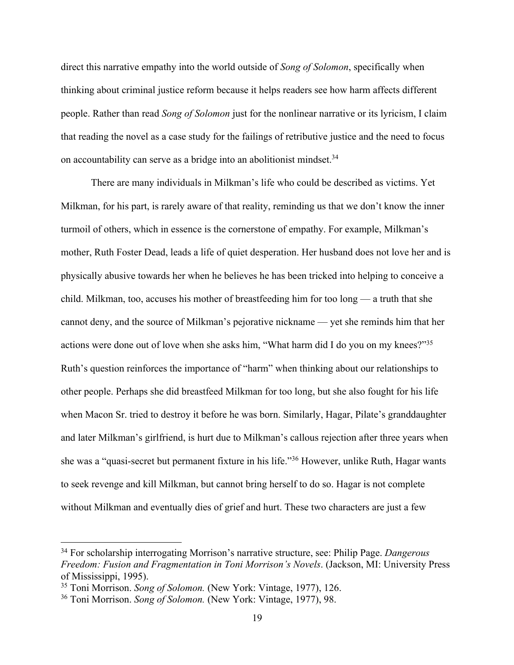direct this narrative empathy into the world outside of *Song of Solomon*, specifically when thinking about criminal justice reform because it helps readers see how harm affects different people. Rather than read *Song of Solomon* just for the nonlinear narrative or its lyricism, I claim that reading the novel as a case study for the failings of retributive justice and the need to focus on accountability can serve as a bridge into an abolitionist mindset.<sup>34</sup>

There are many individuals in Milkman's life who could be described as victims. Yet Milkman, for his part, is rarely aware of that reality, reminding us that we don't know the inner turmoil of others, which in essence is the cornerstone of empathy. For example, Milkman's mother, Ruth Foster Dead, leads a life of quiet desperation. Her husband does not love her and is physically abusive towards her when he believes he has been tricked into helping to conceive a child. Milkman, too, accuses his mother of breastfeeding him for too long — a truth that she cannot deny, and the source of Milkman's pejorative nickname — yet she reminds him that her actions were done out of love when she asks him, "What harm did I do you on my knees?"35 Ruth's question reinforces the importance of "harm" when thinking about our relationships to other people. Perhaps she did breastfeed Milkman for too long, but she also fought for his life when Macon Sr. tried to destroy it before he was born. Similarly, Hagar, Pilate's granddaughter and later Milkman's girlfriend, is hurt due to Milkman's callous rejection after three years when she was a "quasi-secret but permanent fixture in his life."36 However, unlike Ruth, Hagar wants to seek revenge and kill Milkman, but cannot bring herself to do so. Hagar is not complete without Milkman and eventually dies of grief and hurt. These two characters are just a few

<sup>34</sup> For scholarship interrogating Morrison's narrative structure, see: Philip Page. *Dangerous Freedom: Fusion and Fragmentation in Toni Morrison's Novels*. (Jackson, MI: University Press of Mississippi, 1995).

<sup>35</sup> Toni Morrison. *Song of Solomon.* (New York: Vintage, 1977), 126.

<sup>36</sup> Toni Morrison. *Song of Solomon.* (New York: Vintage, 1977), 98.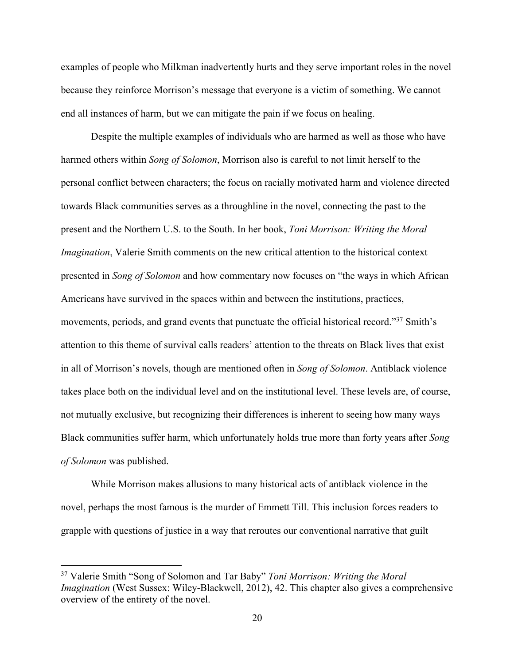examples of people who Milkman inadvertently hurts and they serve important roles in the novel because they reinforce Morrison's message that everyone is a victim of something. We cannot end all instances of harm, but we can mitigate the pain if we focus on healing.

Despite the multiple examples of individuals who are harmed as well as those who have harmed others within *Song of Solomon*, Morrison also is careful to not limit herself to the personal conflict between characters; the focus on racially motivated harm and violence directed towards Black communities serves as a throughline in the novel, connecting the past to the present and the Northern U.S. to the South. In her book, *Toni Morrison: Writing the Moral Imagination*, Valerie Smith comments on the new critical attention to the historical context presented in *Song of Solomon* and how commentary now focuses on "the ways in which African Americans have survived in the spaces within and between the institutions, practices, movements, periods, and grand events that punctuate the official historical record."37 Smith's attention to this theme of survival calls readers' attention to the threats on Black lives that exist in all of Morrison's novels, though are mentioned often in *Song of Solomon*. Antiblack violence takes place both on the individual level and on the institutional level. These levels are, of course, not mutually exclusive, but recognizing their differences is inherent to seeing how many ways Black communities suffer harm, which unfortunately holds true more than forty years after *Song of Solomon* was published.

While Morrison makes allusions to many historical acts of antiblack violence in the novel, perhaps the most famous is the murder of Emmett Till. This inclusion forces readers to grapple with questions of justice in a way that reroutes our conventional narrative that guilt

<sup>37</sup> Valerie Smith "Song of Solomon and Tar Baby" *Toni Morrison: Writing the Moral Imagination* (West Sussex: Wiley-Blackwell, 2012), 42. This chapter also gives a comprehensive overview of the entirety of the novel.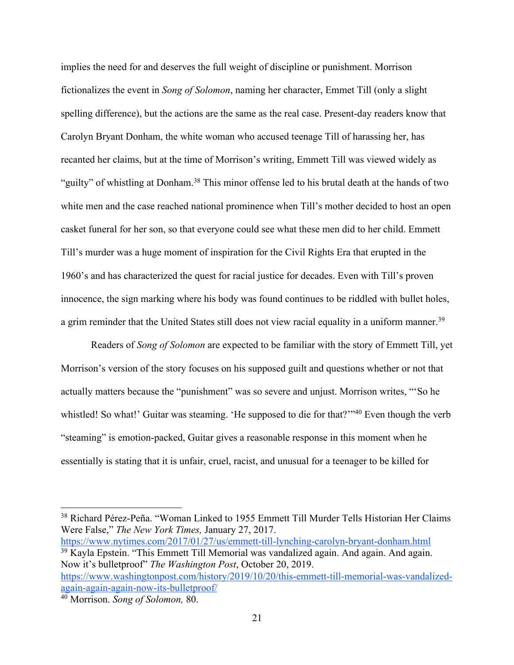implies the need for and deserves the full weight of discipline or punishment. Morrison fictionalizes the event in *Song of Solomon*, naming her character, Emmet Till (only a slight spelling difference), but the actions are the same as the real case. Present-day readers know that Carolyn Bryant Donham, the white woman who accused teenage Till of harassing her, has recanted her claims, but at the time of Morrison's writing, Emmett Till was viewed widely as "guilty" of whistling at Donham.<sup>38</sup> This minor offense led to his brutal death at the hands of two white men and the case reached national prominence when Till's mother decided to host an open casket funeral for her son, so that everyone could see what these men did to her child. Emmett Till's murder was a huge moment of inspiration for the Civil Rights Era that erupted in the 1960's and has characterized the quest for racial justice for decades. Even with Till's proven innocence, the sign marking where his body was found continues to be riddled with bullet holes, a grim reminder that the United States still does not view racial equality in a uniform manner.<sup>39</sup>

Readers of *Song of Solomon* are expected to be familiar with the story of Emmett Till, yet Morrison's version of the story focuses on his supposed guilt and questions whether or not that actually matters because the "punishment" was so severe and unjust. Morrison writes, "'So he whistled! So what!' Guitar was steaming. 'He supposed to die for that?'"<sup>40</sup> Even though the verb "steaming" is emotion-packed, Guitar gives a reasonable response in this moment when he essentially is stating that it is unfair, cruel, racist, and unusual for a teenager to be killed for

https://www.nytimes.com/2017/01/27/us/emmett-till-lynching-carolyn-bryant-donham.html <sup>39</sup> Kayla Epstein. "This Emmett Till Memorial was vandalized again. And again. And again. Now it's bulletproof" *The Washington Post*, October 20, 2019.

https://www.washingtonpost.com/history/2019/10/20/this-emmett-till-memorial-was-vandalizedagain-again-again-now-its-bulletproof/

<sup>38</sup> Richard Pérez-Peña. "Woman Linked to 1955 Emmett Till Murder Tells Historian Her Claims Were False," *The New York Times,* January 27, 2017.

<sup>40</sup> Morrison. *Song of Solomon,* 80.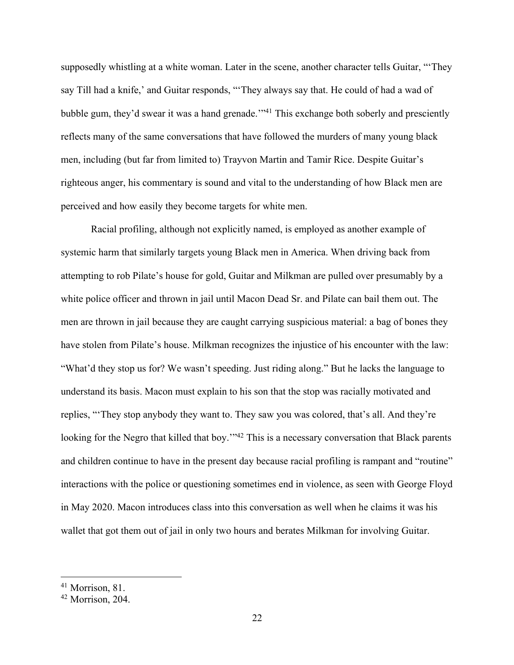supposedly whistling at a white woman. Later in the scene, another character tells Guitar, "'They say Till had a knife,' and Guitar responds, "'They always say that. He could of had a wad of bubble gum, they'd swear it was a hand grenade."<sup>41</sup> This exchange both soberly and presciently reflects many of the same conversations that have followed the murders of many young black men, including (but far from limited to) Trayvon Martin and Tamir Rice. Despite Guitar's righteous anger, his commentary is sound and vital to the understanding of how Black men are perceived and how easily they become targets for white men.

Racial profiling, although not explicitly named, is employed as another example of systemic harm that similarly targets young Black men in America. When driving back from attempting to rob Pilate's house for gold, Guitar and Milkman are pulled over presumably by a white police officer and thrown in jail until Macon Dead Sr. and Pilate can bail them out. The men are thrown in jail because they are caught carrying suspicious material: a bag of bones they have stolen from Pilate's house. Milkman recognizes the injustice of his encounter with the law: "What'd they stop us for? We wasn't speeding. Just riding along." But he lacks the language to understand its basis. Macon must explain to his son that the stop was racially motivated and replies, "'They stop anybody they want to. They saw you was colored, that's all. And they're looking for the Negro that killed that boy."<sup>42</sup> This is a necessary conversation that Black parents and children continue to have in the present day because racial profiling is rampant and "routine" interactions with the police or questioning sometimes end in violence, as seen with George Floyd in May 2020. Macon introduces class into this conversation as well when he claims it was his wallet that got them out of jail in only two hours and berates Milkman for involving Guitar.

<sup>41</sup> Morrison, 81.

<sup>42</sup> Morrison, 204.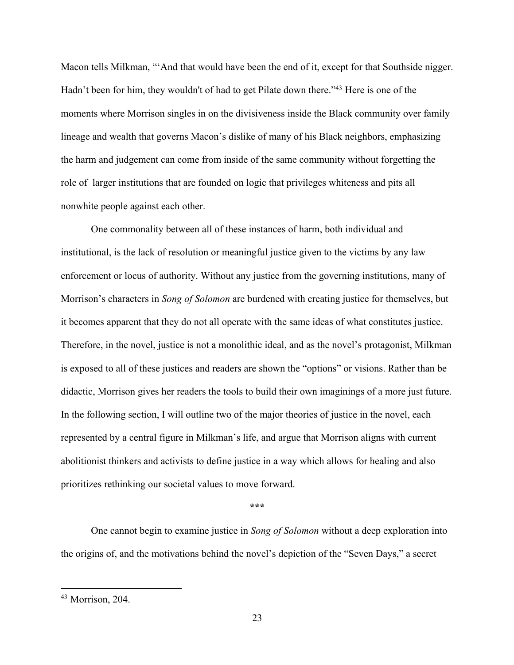Macon tells Milkman, "'And that would have been the end of it, except for that Southside nigger. Hadn't been for him, they wouldn't of had to get Pilate down there."<sup>43</sup> Here is one of the moments where Morrison singles in on the divisiveness inside the Black community over family lineage and wealth that governs Macon's dislike of many of his Black neighbors, emphasizing the harm and judgement can come from inside of the same community without forgetting the role of larger institutions that are founded on logic that privileges whiteness and pits all nonwhite people against each other.

One commonality between all of these instances of harm, both individual and institutional, is the lack of resolution or meaningful justice given to the victims by any law enforcement or locus of authority. Without any justice from the governing institutions, many of Morrison's characters in *Song of Solomon* are burdened with creating justice for themselves, but it becomes apparent that they do not all operate with the same ideas of what constitutes justice. Therefore, in the novel, justice is not a monolithic ideal, and as the novel's protagonist, Milkman is exposed to all of these justices and readers are shown the "options" or visions. Rather than be didactic, Morrison gives her readers the tools to build their own imaginings of a more just future. In the following section, I will outline two of the major theories of justice in the novel, each represented by a central figure in Milkman's life, and argue that Morrison aligns with current abolitionist thinkers and activists to define justice in a way which allows for healing and also prioritizes rethinking our societal values to move forward.

#### **\*\*\***

One cannot begin to examine justice in *Song of Solomon* without a deep exploration into the origins of, and the motivations behind the novel's depiction of the "Seven Days," a secret

<sup>43</sup> Morrison, 204.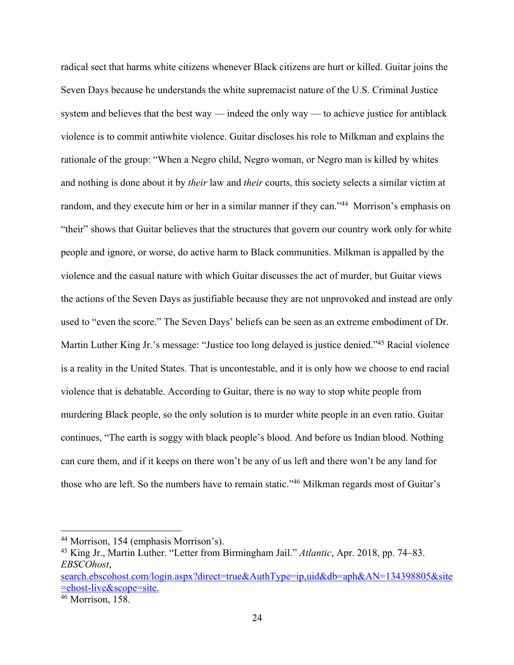radical sect that harms white citizens whenever Black citizens are hurt or killed. Guitar joins the Seven Days because he understands the white supremacist nature of the U.S. Criminal Justice system and believes that the best way — indeed the only way — to achieve justice for antiblack violence is to commit antiwhite violence. Guitar discloses his role to Milkman and explains the rationale of the group: "When a Negro child, Negro woman, or Negro man is killed by whites and nothing is done about it by *their* law and *their* courts, this society selects a similar victim at random, and they execute him or her in a similar manner if they can."<sup>44</sup> Morrison's emphasis on "their" shows that Guitar believes that the structures that govern our country work only for white people and ignore, or worse, do active harm to Black communities. Milkman is appalled by the violence and the casual nature with which Guitar discusses the act of murder, but Guitar views the actions of the Seven Days as justifiable because they are not unprovoked and instead are only used to "even the score." The Seven Days' beliefs can be seen as an extreme embodiment of Dr. Martin Luther King Jr.'s message: "Justice too long delayed is justice denied."45 Racial violence is a reality in the United States. That is uncontestable, and it is only how we choose to end racial violence that is debatable. According to Guitar, there is no way to stop white people from murdering Black people, so the only solution is to murder white people in an even ratio. Guitar continues, "The earth is soggy with black people's blood. And before us Indian blood. Nothing can cure them, and if it keeps on there won't be any of us left and there won't be any land for those who are left. So the numbers have to remain static."46 Milkman regards most of Guitar's

<sup>44</sup> Morrison, 154 (emphasis Morrison's).

<sup>45</sup> King Jr., Martin Luther. "Letter from Birmingham Jail." *Atlantic*, Apr. 2018, pp. 74–83. *EBSCOhost*,

search.ebscohost.com/login.aspx?direct=true&AuthType=ip,uid&db=aph&AN=134398805&site =ehost-live&scope=site.

 $46$  Morrison, 158.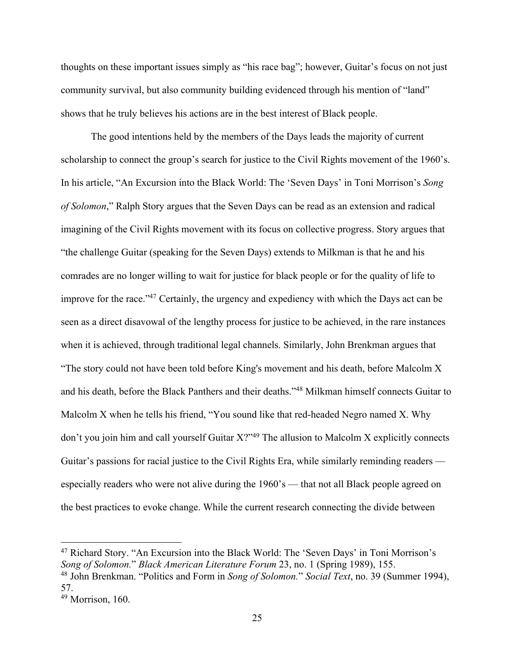thoughts on these important issues simply as "his race bag"; however, Guitar's focus on not just community survival, but also community building evidenced through his mention of "land" shows that he truly believes his actions are in the best interest of Black people.

The good intentions held by the members of the Days leads the majority of current scholarship to connect the group's search for justice to the Civil Rights movement of the 1960's. In his article, "An Excursion into the Black World: The 'Seven Days' in Toni Morrison's *Song of Solomon*," Ralph Story argues that the Seven Days can be read as an extension and radical imagining of the Civil Rights movement with its focus on collective progress. Story argues that "the challenge Guitar (speaking for the Seven Days) extends to Milkman is that he and his comrades are no longer willing to wait for justice for black people or for the quality of life to improve for the race."<sup>47</sup> Certainly, the urgency and expediency with which the Days act can be seen as a direct disavowal of the lengthy process for justice to be achieved, in the rare instances when it is achieved, through traditional legal channels. Similarly, John Brenkman argues that "The story could not have been told before King's movement and his death, before Malcolm X and his death, before the Black Panthers and their deaths."48 Milkman himself connects Guitar to Malcolm X when he tells his friend, "You sound like that red-headed Negro named X. Why don't you join him and call yourself Guitar X?"<sup>49</sup> The allusion to Malcolm X explicitly connects Guitar's passions for racial justice to the Civil Rights Era, while similarly reminding readers especially readers who were not alive during the 1960's — that not all Black people agreed on the best practices to evoke change. While the current research connecting the divide between

<sup>47</sup> Richard Story. "An Excursion into the Black World: The 'Seven Days' in Toni Morrison's *Song of Solomon.*" *Black American Literature Forum* 23, no. 1 (Spring 1989), 155. <sup>48</sup> John Brenkman. "Politics and Form in *Song of Solomon.*" *Social Text*, no. 39 (Summer 1994),

<sup>57.</sup> 

<sup>49</sup> Morrison, 160.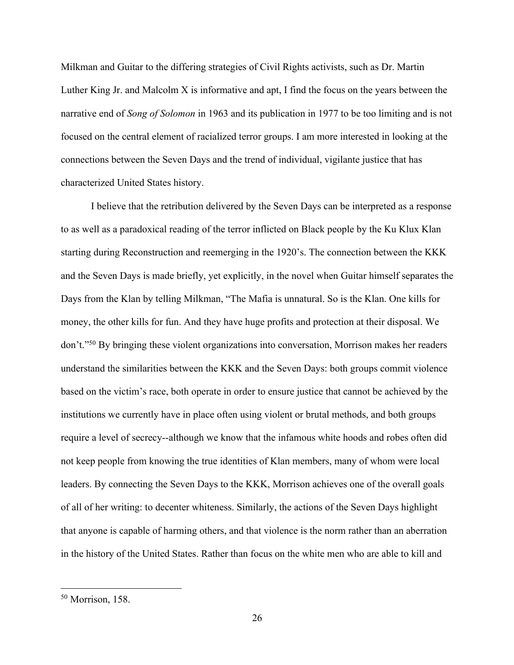Milkman and Guitar to the differing strategies of Civil Rights activists, such as Dr. Martin Luther King Jr. and Malcolm X is informative and apt, I find the focus on the years between the narrative end of *Song of Solomon* in 1963 and its publication in 1977 to be too limiting and is not focused on the central element of racialized terror groups. I am more interested in looking at the connections between the Seven Days and the trend of individual, vigilante justice that has characterized United States history.

I believe that the retribution delivered by the Seven Days can be interpreted as a response to as well as a paradoxical reading of the terror inflicted on Black people by the Ku Klux Klan starting during Reconstruction and reemerging in the 1920's. The connection between the KKK and the Seven Days is made briefly, yet explicitly, in the novel when Guitar himself separates the Days from the Klan by telling Milkman, "The Mafia is unnatural. So is the Klan. One kills for money, the other kills for fun. And they have huge profits and protection at their disposal. We don't."50 By bringing these violent organizations into conversation, Morrison makes her readers understand the similarities between the KKK and the Seven Days: both groups commit violence based on the victim's race, both operate in order to ensure justice that cannot be achieved by the institutions we currently have in place often using violent or brutal methods, and both groups require a level of secrecy--although we know that the infamous white hoods and robes often did not keep people from knowing the true identities of Klan members, many of whom were local leaders. By connecting the Seven Days to the KKK, Morrison achieves one of the overall goals of all of her writing: to decenter whiteness. Similarly, the actions of the Seven Days highlight that anyone is capable of harming others, and that violence is the norm rather than an aberration in the history of the United States. Rather than focus on the white men who are able to kill and

<sup>50</sup> Morrison, 158.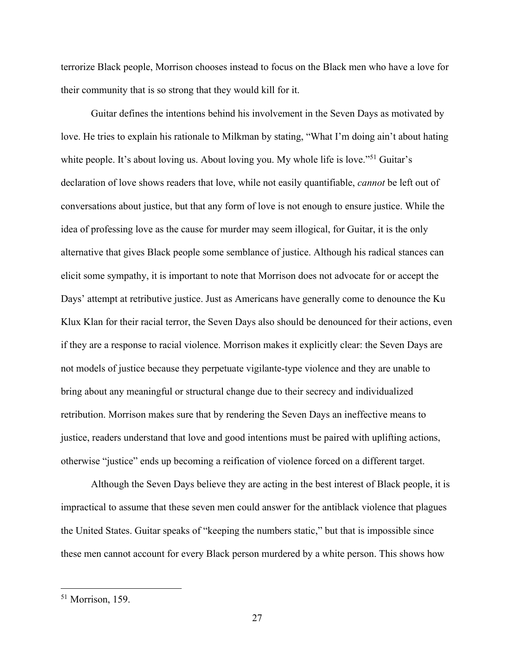terrorize Black people, Morrison chooses instead to focus on the Black men who have a love for their community that is so strong that they would kill for it.

Guitar defines the intentions behind his involvement in the Seven Days as motivated by love. He tries to explain his rationale to Milkman by stating, "What I'm doing ain't about hating white people. It's about loving us. About loving you. My whole life is love."<sup>51</sup> Guitar's declaration of love shows readers that love, while not easily quantifiable, *cannot* be left out of conversations about justice, but that any form of love is not enough to ensure justice. While the idea of professing love as the cause for murder may seem illogical, for Guitar, it is the only alternative that gives Black people some semblance of justice. Although his radical stances can elicit some sympathy, it is important to note that Morrison does not advocate for or accept the Days' attempt at retributive justice. Just as Americans have generally come to denounce the Ku Klux Klan for their racial terror, the Seven Days also should be denounced for their actions, even if they are a response to racial violence. Morrison makes it explicitly clear: the Seven Days are not models of justice because they perpetuate vigilante-type violence and they are unable to bring about any meaningful or structural change due to their secrecy and individualized retribution. Morrison makes sure that by rendering the Seven Days an ineffective means to justice, readers understand that love and good intentions must be paired with uplifting actions, otherwise "justice" ends up becoming a reification of violence forced on a different target.

Although the Seven Days believe they are acting in the best interest of Black people, it is impractical to assume that these seven men could answer for the antiblack violence that plagues the United States. Guitar speaks of "keeping the numbers static," but that is impossible since these men cannot account for every Black person murdered by a white person. This shows how

<sup>51</sup> Morrison, 159.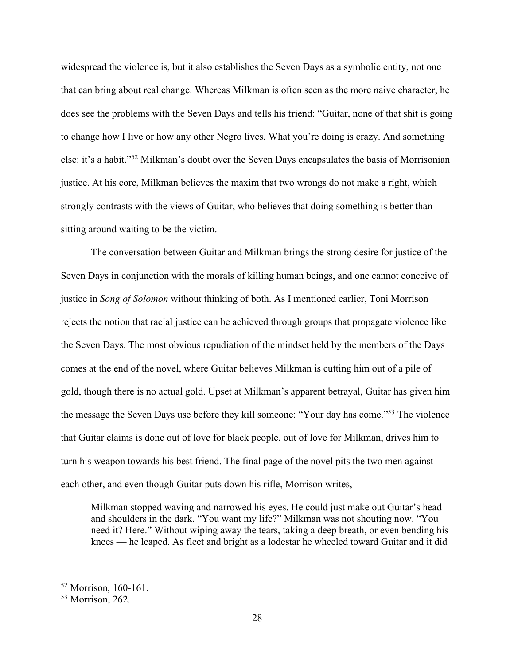widespread the violence is, but it also establishes the Seven Days as a symbolic entity, not one that can bring about real change. Whereas Milkman is often seen as the more naive character, he does see the problems with the Seven Days and tells his friend: "Guitar, none of that shit is going to change how I live or how any other Negro lives. What you're doing is crazy. And something else: it's a habit."52 Milkman's doubt over the Seven Days encapsulates the basis of Morrisonian justice. At his core, Milkman believes the maxim that two wrongs do not make a right, which strongly contrasts with the views of Guitar, who believes that doing something is better than sitting around waiting to be the victim.

The conversation between Guitar and Milkman brings the strong desire for justice of the Seven Days in conjunction with the morals of killing human beings, and one cannot conceive of justice in *Song of Solomon* without thinking of both. As I mentioned earlier, Toni Morrison rejects the notion that racial justice can be achieved through groups that propagate violence like the Seven Days. The most obvious repudiation of the mindset held by the members of the Days comes at the end of the novel, where Guitar believes Milkman is cutting him out of a pile of gold, though there is no actual gold. Upset at Milkman's apparent betrayal, Guitar has given him the message the Seven Days use before they kill someone: "Your day has come."53 The violence that Guitar claims is done out of love for black people, out of love for Milkman, drives him to turn his weapon towards his best friend. The final page of the novel pits the two men against each other, and even though Guitar puts down his rifle, Morrison writes,

Milkman stopped waving and narrowed his eyes. He could just make out Guitar's head and shoulders in the dark. "You want my life?" Milkman was not shouting now. "You need it? Here." Without wiping away the tears, taking a deep breath, or even bending his knees — he leaped. As fleet and bright as a lodestar he wheeled toward Guitar and it did

<sup>52</sup> Morrison, 160-161.

<sup>53</sup> Morrison, 262.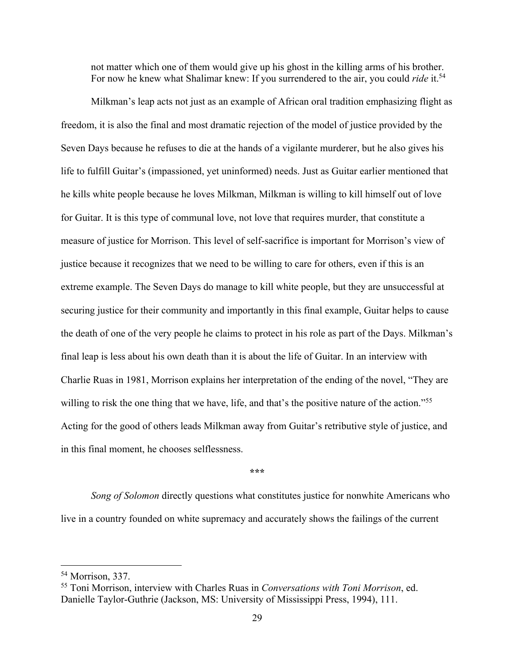not matter which one of them would give up his ghost in the killing arms of his brother. For now he knew what Shalimar knew: If you surrendered to the air, you could *ride* it.<sup>54</sup>

Milkman's leap acts not just as an example of African oral tradition emphasizing flight as freedom, it is also the final and most dramatic rejection of the model of justice provided by the Seven Days because he refuses to die at the hands of a vigilante murderer, but he also gives his life to fulfill Guitar's (impassioned, yet uninformed) needs. Just as Guitar earlier mentioned that he kills white people because he loves Milkman, Milkman is willing to kill himself out of love for Guitar. It is this type of communal love, not love that requires murder, that constitute a measure of justice for Morrison. This level of self-sacrifice is important for Morrison's view of justice because it recognizes that we need to be willing to care for others, even if this is an extreme example. The Seven Days do manage to kill white people, but they are unsuccessful at securing justice for their community and importantly in this final example, Guitar helps to cause the death of one of the very people he claims to protect in his role as part of the Days. Milkman's final leap is less about his own death than it is about the life of Guitar. In an interview with Charlie Ruas in 1981, Morrison explains her interpretation of the ending of the novel, "They are willing to risk the one thing that we have, life, and that's the positive nature of the action."<sup>55</sup> Acting for the good of others leads Milkman away from Guitar's retributive style of justice, and in this final moment, he chooses selflessness.

### **\*\*\***

*Song of Solomon* directly questions what constitutes justice for nonwhite Americans who live in a country founded on white supremacy and accurately shows the failings of the current

<sup>54</sup> Morrison, 337.

<sup>55</sup> Toni Morrison, interview with Charles Ruas in *Conversations with Toni Morrison*, ed. Danielle Taylor-Guthrie (Jackson, MS: University of Mississippi Press, 1994), 111.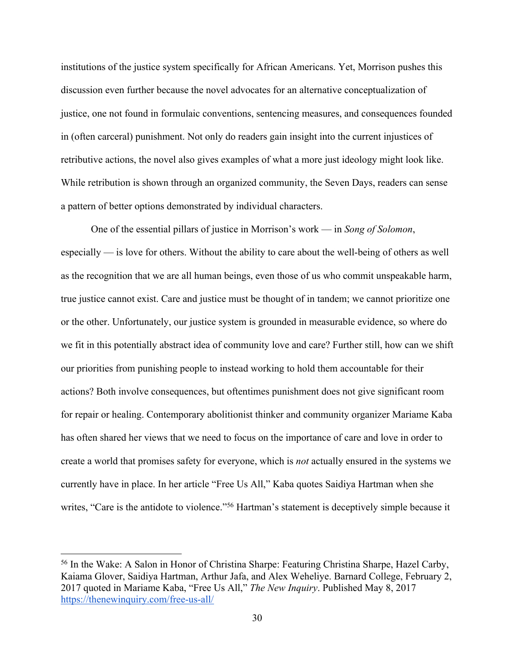institutions of the justice system specifically for African Americans. Yet, Morrison pushes this discussion even further because the novel advocates for an alternative conceptualization of justice, one not found in formulaic conventions, sentencing measures, and consequences founded in (often carceral) punishment. Not only do readers gain insight into the current injustices of retributive actions, the novel also gives examples of what a more just ideology might look like. While retribution is shown through an organized community, the Seven Days, readers can sense a pattern of better options demonstrated by individual characters.

One of the essential pillars of justice in Morrison's work — in *Song of Solomon*, especially — is love for others. Without the ability to care about the well-being of others as well as the recognition that we are all human beings, even those of us who commit unspeakable harm, true justice cannot exist. Care and justice must be thought of in tandem; we cannot prioritize one or the other. Unfortunately, our justice system is grounded in measurable evidence, so where do we fit in this potentially abstract idea of community love and care? Further still, how can we shift our priorities from punishing people to instead working to hold them accountable for their actions? Both involve consequences, but oftentimes punishment does not give significant room for repair or healing. Contemporary abolitionist thinker and community organizer Mariame Kaba has often shared her views that we need to focus on the importance of care and love in order to create a world that promises safety for everyone, which is *not* actually ensured in the systems we currently have in place. In her article "Free Us All," Kaba quotes Saidiya Hartman when she writes, "Care is the antidote to violence."<sup>56</sup> Hartman's statement is deceptively simple because it

<sup>56</sup> In the Wake: A Salon in Honor of Christina Sharpe: Featuring Christina Sharpe, Hazel Carby, Kaiama Glover, Saidiya Hartman, Arthur Jafa, and Alex Weheliye. Barnard College, February 2, 2017 quoted in Mariame Kaba, "Free Us All," *The New Inquiry*. Published May 8, 2017 https://thenewinquiry.com/free-us-all/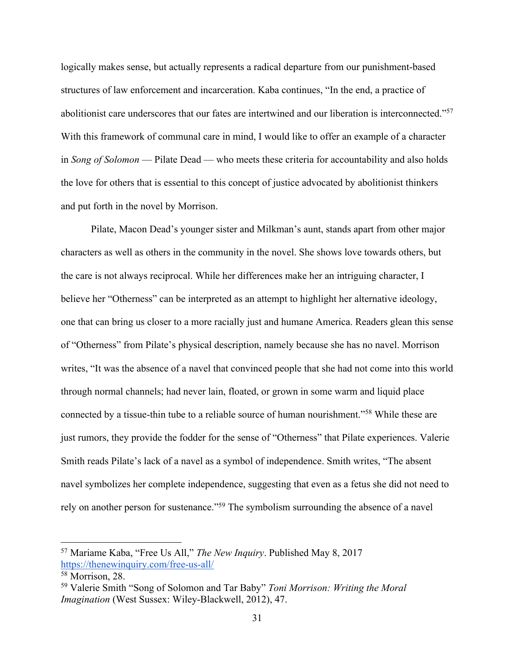logically makes sense, but actually represents a radical departure from our punishment-based structures of law enforcement and incarceration. Kaba continues, "In the end, a practice of abolitionist care underscores that our fates are intertwined and our liberation is interconnected."57 With this framework of communal care in mind, I would like to offer an example of a character in *Song of Solomon* — Pilate Dead — who meets these criteria for accountability and also holds the love for others that is essential to this concept of justice advocated by abolitionist thinkers and put forth in the novel by Morrison.

Pilate, Macon Dead's younger sister and Milkman's aunt, stands apart from other major characters as well as others in the community in the novel. She shows love towards others, but the care is not always reciprocal. While her differences make her an intriguing character, I believe her "Otherness" can be interpreted as an attempt to highlight her alternative ideology, one that can bring us closer to a more racially just and humane America. Readers glean this sense of "Otherness" from Pilate's physical description, namely because she has no navel. Morrison writes, "It was the absence of a navel that convinced people that she had not come into this world through normal channels; had never lain, floated, or grown in some warm and liquid place connected by a tissue-thin tube to a reliable source of human nourishment."58 While these are just rumors, they provide the fodder for the sense of "Otherness" that Pilate experiences. Valerie Smith reads Pilate's lack of a navel as a symbol of independence. Smith writes, "The absent navel symbolizes her complete independence, suggesting that even as a fetus she did not need to rely on another person for sustenance."59 The symbolism surrounding the absence of a navel

<sup>57</sup> Mariame Kaba, "Free Us All," *The New Inquiry*. Published May 8, 2017 https://thenewinquiry.com/free-us-all/

<sup>58</sup> Morrison, 28.

<sup>59</sup> Valerie Smith "Song of Solomon and Tar Baby" *Toni Morrison: Writing the Moral Imagination* (West Sussex: Wiley-Blackwell, 2012), 47.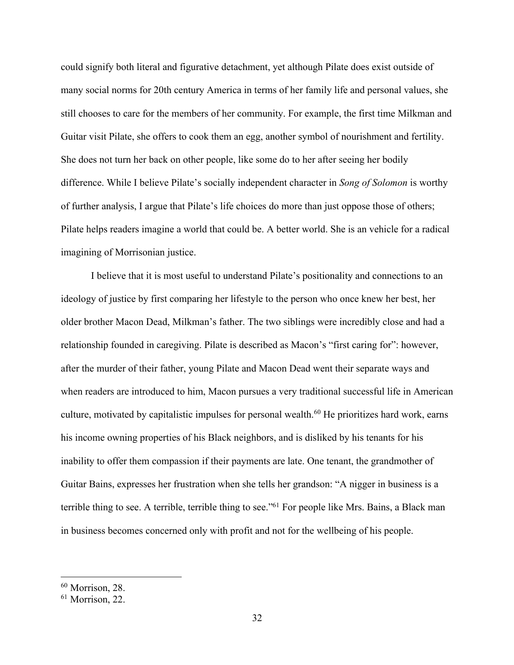could signify both literal and figurative detachment, yet although Pilate does exist outside of many social norms for 20th century America in terms of her family life and personal values, she still chooses to care for the members of her community. For example, the first time Milkman and Guitar visit Pilate, she offers to cook them an egg, another symbol of nourishment and fertility. She does not turn her back on other people, like some do to her after seeing her bodily difference. While I believe Pilate's socially independent character in *Song of Solomon* is worthy of further analysis, I argue that Pilate's life choices do more than just oppose those of others; Pilate helps readers imagine a world that could be. A better world. She is an vehicle for a radical imagining of Morrisonian justice.

I believe that it is most useful to understand Pilate's positionality and connections to an ideology of justice by first comparing her lifestyle to the person who once knew her best, her older brother Macon Dead, Milkman's father. The two siblings were incredibly close and had a relationship founded in caregiving. Pilate is described as Macon's "first caring for": however, after the murder of their father, young Pilate and Macon Dead went their separate ways and when readers are introduced to him, Macon pursues a very traditional successful life in American culture, motivated by capitalistic impulses for personal wealth.<sup>60</sup> He prioritizes hard work, earns his income owning properties of his Black neighbors, and is disliked by his tenants for his inability to offer them compassion if their payments are late. One tenant, the grandmother of Guitar Bains, expresses her frustration when she tells her grandson: "A nigger in business is a terrible thing to see. A terrible, terrible thing to see."<sup>61</sup> For people like Mrs. Bains, a Black man in business becomes concerned only with profit and not for the wellbeing of his people.

<sup>60</sup> Morrison, 28.

<sup>61</sup> Morrison, 22.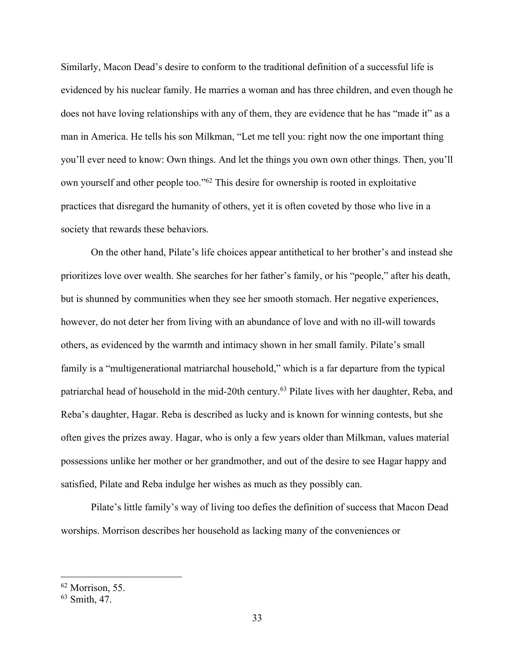Similarly, Macon Dead's desire to conform to the traditional definition of a successful life is evidenced by his nuclear family. He marries a woman and has three children, and even though he does not have loving relationships with any of them, they are evidence that he has "made it" as a man in America. He tells his son Milkman, "Let me tell you: right now the one important thing you'll ever need to know: Own things. And let the things you own own other things. Then, you'll own yourself and other people too."62 This desire for ownership is rooted in exploitative practices that disregard the humanity of others, yet it is often coveted by those who live in a society that rewards these behaviors.

On the other hand, Pilate's life choices appear antithetical to her brother's and instead she prioritizes love over wealth. She searches for her father's family, or his "people," after his death, but is shunned by communities when they see her smooth stomach. Her negative experiences, however, do not deter her from living with an abundance of love and with no ill-will towards others, as evidenced by the warmth and intimacy shown in her small family. Pilate's small family is a "multigenerational matriarchal household," which is a far departure from the typical patriarchal head of household in the mid-20th century.63 Pilate lives with her daughter, Reba, and Reba's daughter, Hagar. Reba is described as lucky and is known for winning contests, but she often gives the prizes away. Hagar, who is only a few years older than Milkman, values material possessions unlike her mother or her grandmother, and out of the desire to see Hagar happy and satisfied, Pilate and Reba indulge her wishes as much as they possibly can.

Pilate's little family's way of living too defies the definition of success that Macon Dead worships. Morrison describes her household as lacking many of the conveniences or

<sup>62</sup> Morrison, 55.

<sup>63</sup> Smith, 47.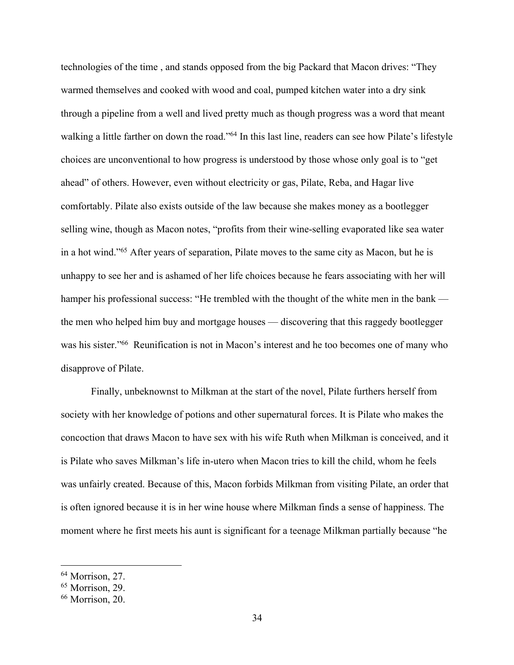technologies of the time , and stands opposed from the big Packard that Macon drives: "They warmed themselves and cooked with wood and coal, pumped kitchen water into a dry sink through a pipeline from a well and lived pretty much as though progress was a word that meant walking a little farther on down the road."<sup>64</sup> In this last line, readers can see how Pilate's lifestyle choices are unconventional to how progress is understood by those whose only goal is to "get ahead" of others. However, even without electricity or gas, Pilate, Reba, and Hagar live comfortably. Pilate also exists outside of the law because she makes money as a bootlegger selling wine, though as Macon notes, "profits from their wine-selling evaporated like sea water in a hot wind."65 After years of separation, Pilate moves to the same city as Macon, but he is unhappy to see her and is ashamed of her life choices because he fears associating with her will hamper his professional success: "He trembled with the thought of the white men in the bank the men who helped him buy and mortgage houses — discovering that this raggedy bootlegger was his sister."66 Reunification is not in Macon's interest and he too becomes one of many who disapprove of Pilate.

Finally, unbeknownst to Milkman at the start of the novel, Pilate furthers herself from society with her knowledge of potions and other supernatural forces. It is Pilate who makes the concoction that draws Macon to have sex with his wife Ruth when Milkman is conceived, and it is Pilate who saves Milkman's life in-utero when Macon tries to kill the child, whom he feels was unfairly created. Because of this, Macon forbids Milkman from visiting Pilate, an order that is often ignored because it is in her wine house where Milkman finds a sense of happiness. The moment where he first meets his aunt is significant for a teenage Milkman partially because "he

<sup>64</sup> Morrison, 27.

<sup>65</sup> Morrison, 29.

<sup>66</sup> Morrison, 20.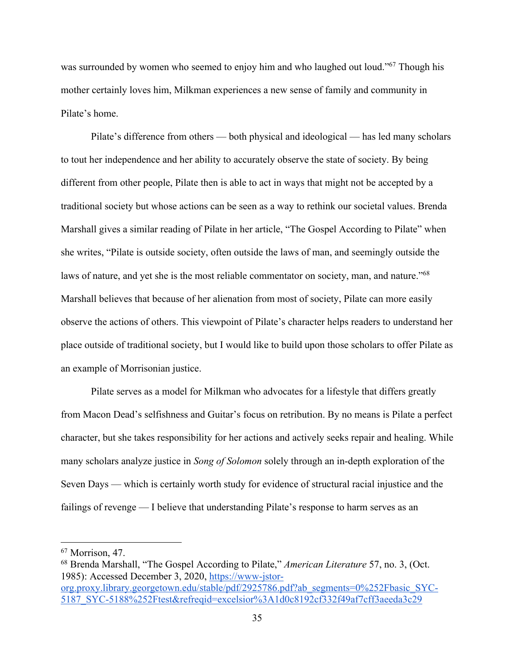was surrounded by women who seemed to enjoy him and who laughed out loud."<sup>67</sup> Though his mother certainly loves him, Milkman experiences a new sense of family and community in Pilate's home.

Pilate's difference from others — both physical and ideological — has led many scholars to tout her independence and her ability to accurately observe the state of society. By being different from other people, Pilate then is able to act in ways that might not be accepted by a traditional society but whose actions can be seen as a way to rethink our societal values. Brenda Marshall gives a similar reading of Pilate in her article, "The Gospel According to Pilate" when she writes, "Pilate is outside society, often outside the laws of man, and seemingly outside the laws of nature, and yet she is the most reliable commentator on society, man, and nature."<sup>68</sup> Marshall believes that because of her alienation from most of society, Pilate can more easily observe the actions of others. This viewpoint of Pilate's character helps readers to understand her place outside of traditional society, but I would like to build upon those scholars to offer Pilate as an example of Morrisonian justice.

Pilate serves as a model for Milkman who advocates for a lifestyle that differs greatly from Macon Dead's selfishness and Guitar's focus on retribution. By no means is Pilate a perfect character, but she takes responsibility for her actions and actively seeks repair and healing. While many scholars analyze justice in *Song of Solomon* solely through an in-depth exploration of the Seven Days — which is certainly worth study for evidence of structural racial injustice and the failings of revenge — I believe that understanding Pilate's response to harm serves as an

<sup>67</sup> Morrison, 47.

<sup>68</sup> Brenda Marshall, "The Gospel According to Pilate," *American Literature* 57, no. 3, (Oct. 1985): Accessed December 3, 2020, https://www-jstororg.proxy.library.georgetown.edu/stable/pdf/2925786.pdf?ab\_segments=0%252Fbasic\_SYC-

<sup>5187</sup>\_SYC-5188%252Ftest&refreqid=excelsior%3A1d0c8192cf332f49af7cff3aeeda3c29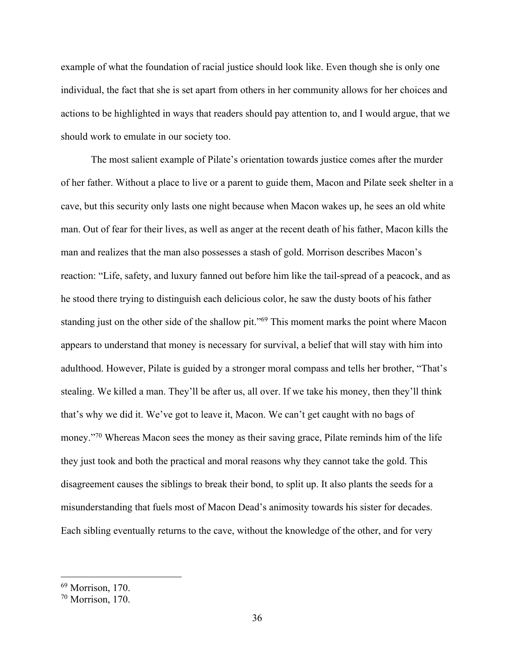example of what the foundation of racial justice should look like. Even though she is only one individual, the fact that she is set apart from others in her community allows for her choices and actions to be highlighted in ways that readers should pay attention to, and I would argue, that we should work to emulate in our society too.

The most salient example of Pilate's orientation towards justice comes after the murder of her father. Without a place to live or a parent to guide them, Macon and Pilate seek shelter in a cave, but this security only lasts one night because when Macon wakes up, he sees an old white man. Out of fear for their lives, as well as anger at the recent death of his father, Macon kills the man and realizes that the man also possesses a stash of gold. Morrison describes Macon's reaction: "Life, safety, and luxury fanned out before him like the tail-spread of a peacock, and as he stood there trying to distinguish each delicious color, he saw the dusty boots of his father standing just on the other side of the shallow pit."<sup>69</sup> This moment marks the point where Macon appears to understand that money is necessary for survival, a belief that will stay with him into adulthood. However, Pilate is guided by a stronger moral compass and tells her brother, "That's stealing. We killed a man. They'll be after us, all over. If we take his money, then they'll think that's why we did it. We've got to leave it, Macon. We can't get caught with no bags of money."<sup>70</sup> Whereas Macon sees the money as their saving grace, Pilate reminds him of the life they just took and both the practical and moral reasons why they cannot take the gold. This disagreement causes the siblings to break their bond, to split up. It also plants the seeds for a misunderstanding that fuels most of Macon Dead's animosity towards his sister for decades. Each sibling eventually returns to the cave, without the knowledge of the other, and for very

<sup>69</sup> Morrison, 170.

<sup>70</sup> Morrison, 170.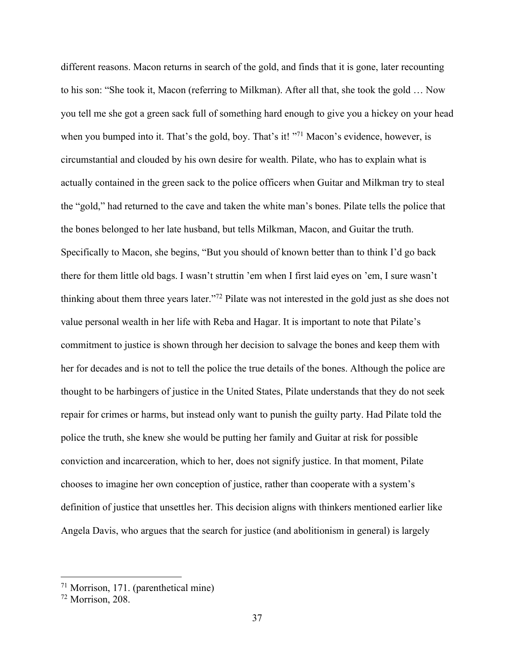different reasons. Macon returns in search of the gold, and finds that it is gone, later recounting to his son: "She took it, Macon (referring to Milkman). After all that, she took the gold … Now you tell me she got a green sack full of something hard enough to give you a hickey on your head when you bumped into it. That's the gold, boy. That's it! "<sup>71</sup> Macon's evidence, however, is circumstantial and clouded by his own desire for wealth. Pilate, who has to explain what is actually contained in the green sack to the police officers when Guitar and Milkman try to steal the "gold," had returned to the cave and taken the white man's bones. Pilate tells the police that the bones belonged to her late husband, but tells Milkman, Macon, and Guitar the truth. Specifically to Macon, she begins, "But you should of known better than to think I'd go back there for them little old bags. I wasn't struttin 'em when I first laid eyes on 'em, I sure wasn't thinking about them three years later."72 Pilate was not interested in the gold just as she does not value personal wealth in her life with Reba and Hagar. It is important to note that Pilate's commitment to justice is shown through her decision to salvage the bones and keep them with her for decades and is not to tell the police the true details of the bones. Although the police are thought to be harbingers of justice in the United States, Pilate understands that they do not seek repair for crimes or harms, but instead only want to punish the guilty party. Had Pilate told the police the truth, she knew she would be putting her family and Guitar at risk for possible conviction and incarceration, which to her, does not signify justice. In that moment, Pilate chooses to imagine her own conception of justice, rather than cooperate with a system's definition of justice that unsettles her. This decision aligns with thinkers mentioned earlier like Angela Davis, who argues that the search for justice (and abolitionism in general) is largely

<sup>71</sup> Morrison, 171. (parenthetical mine)

<sup>72</sup> Morrison, 208.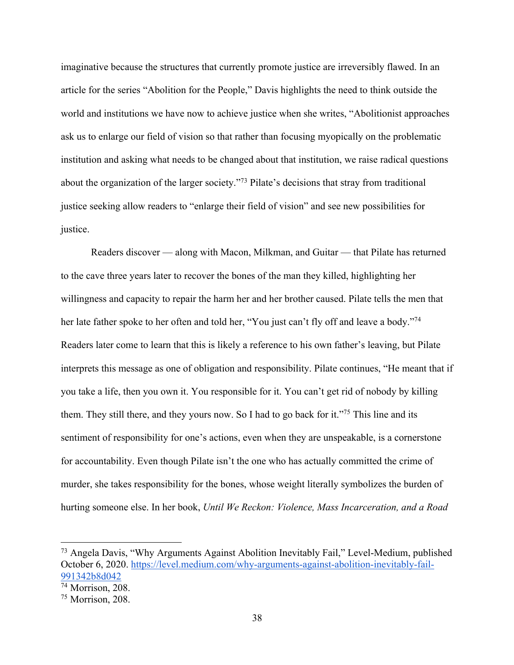imaginative because the structures that currently promote justice are irreversibly flawed. In an article for the series "Abolition for the People," Davis highlights the need to think outside the world and institutions we have now to achieve justice when she writes, "Abolitionist approaches ask us to enlarge our field of vision so that rather than focusing myopically on the problematic institution and asking what needs to be changed about that institution, we raise radical questions about the organization of the larger society."73 Pilate's decisions that stray from traditional justice seeking allow readers to "enlarge their field of vision" and see new possibilities for justice.

Readers discover — along with Macon, Milkman, and Guitar — that Pilate has returned to the cave three years later to recover the bones of the man they killed, highlighting her willingness and capacity to repair the harm her and her brother caused. Pilate tells the men that her late father spoke to her often and told her, "You just can't fly off and leave a body."74 Readers later come to learn that this is likely a reference to his own father's leaving, but Pilate interprets this message as one of obligation and responsibility. Pilate continues, "He meant that if you take a life, then you own it. You responsible for it. You can't get rid of nobody by killing them. They still there, and they yours now. So I had to go back for it."75 This line and its sentiment of responsibility for one's actions, even when they are unspeakable, is a cornerstone for accountability. Even though Pilate isn't the one who has actually committed the crime of murder, she takes responsibility for the bones, whose weight literally symbolizes the burden of hurting someone else. In her book, *Until We Reckon: Violence, Mass Incarceration, and a Road* 

<sup>73</sup> Angela Davis, "Why Arguments Against Abolition Inevitably Fail," Level-Medium, published October 6, 2020. https://level.medium.com/why-arguments-against-abolition-inevitably-fail-991342b8d042

 $\frac{74}{74}$  Morrison, 208.

<sup>75</sup> Morrison, 208.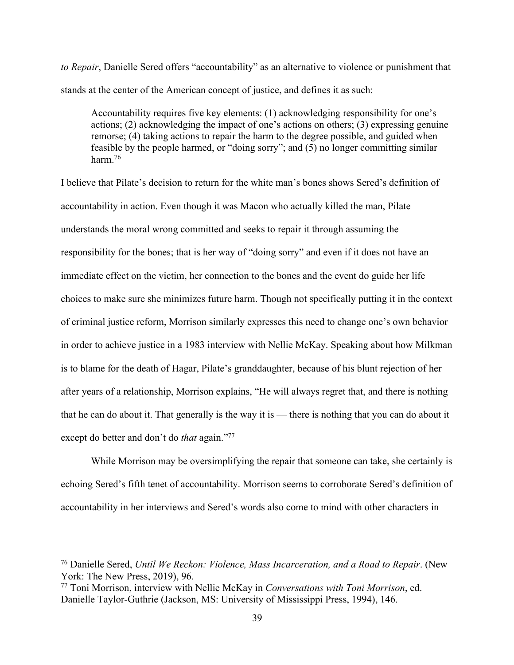*to Repair*, Danielle Sered offers "accountability" as an alternative to violence or punishment that stands at the center of the American concept of justice, and defines it as such:

Accountability requires five key elements: (1) acknowledging responsibility for one's actions; (2) acknowledging the impact of one's actions on others; (3) expressing genuine remorse; (4) taking actions to repair the harm to the degree possible, and guided when feasible by the people harmed, or "doing sorry"; and (5) no longer committing similar harm.76

I believe that Pilate's decision to return for the white man's bones shows Sered's definition of accountability in action. Even though it was Macon who actually killed the man, Pilate understands the moral wrong committed and seeks to repair it through assuming the responsibility for the bones; that is her way of "doing sorry" and even if it does not have an immediate effect on the victim, her connection to the bones and the event do guide her life choices to make sure she minimizes future harm. Though not specifically putting it in the context of criminal justice reform, Morrison similarly expresses this need to change one's own behavior in order to achieve justice in a 1983 interview with Nellie McKay. Speaking about how Milkman is to blame for the death of Hagar, Pilate's granddaughter, because of his blunt rejection of her after years of a relationship, Morrison explains, "He will always regret that, and there is nothing that he can do about it. That generally is the way it is — there is nothing that you can do about it except do better and don't do *that* again."<sup>77</sup>

While Morrison may be oversimplifying the repair that someone can take, she certainly is echoing Sered's fifth tenet of accountability. Morrison seems to corroborate Sered's definition of accountability in her interviews and Sered's words also come to mind with other characters in

<sup>76</sup> Danielle Sered, *Until We Reckon: Violence, Mass Incarceration, and a Road to Repair*. (New York: The New Press, 2019), 96.

<sup>77</sup> Toni Morrison, interview with Nellie McKay in *Conversations with Toni Morrison*, ed. Danielle Taylor-Guthrie (Jackson, MS: University of Mississippi Press, 1994), 146.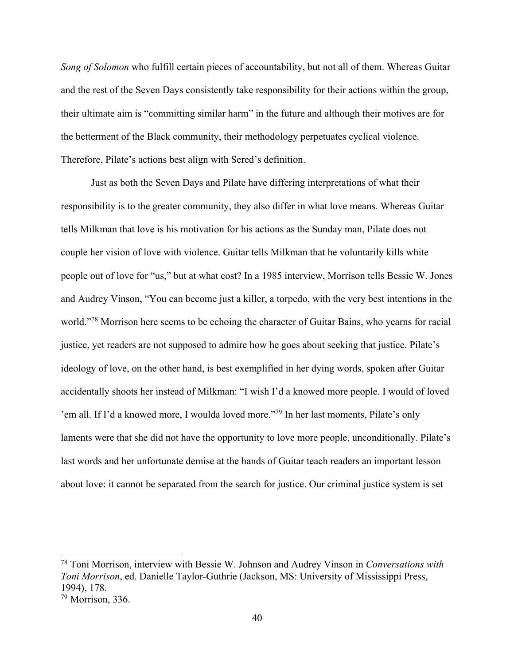*Song of Solomon* who fulfill certain pieces of accountability, but not all of them. Whereas Guitar and the rest of the Seven Days consistently take responsibility for their actions within the group, their ultimate aim is "committing similar harm" in the future and although their motives are for the betterment of the Black community, their methodology perpetuates cyclical violence. Therefore, Pilate's actions best align with Sered's definition.

Just as both the Seven Days and Pilate have differing interpretations of what their responsibility is to the greater community, they also differ in what love means. Whereas Guitar tells Milkman that love is his motivation for his actions as the Sunday man, Pilate does not couple her vision of love with violence. Guitar tells Milkman that he voluntarily kills white people out of love for "us," but at what cost? In a 1985 interview, Morrison tells Bessie W. Jones and Audrey Vinson, "You can become just a killer, a torpedo, with the very best intentions in the world."78 Morrison here seems to be echoing the character of Guitar Bains, who yearns for racial justice, yet readers are not supposed to admire how he goes about seeking that justice. Pilate's ideology of love, on the other hand, is best exemplified in her dying words, spoken after Guitar accidentally shoots her instead of Milkman: "I wish I'd a knowed more people. I would of loved 'em all. If I'd a knowed more, I woulda loved more."79 In her last moments, Pilate's only laments were that she did not have the opportunity to love more people, unconditionally. Pilate's last words and her unfortunate demise at the hands of Guitar teach readers an important lesson about love: it cannot be separated from the search for justice. Our criminal justice system is set

<sup>78</sup> Toni Morrison, interview with Bessie W. Johnson and Audrey Vinson in *Conversations with Toni Morrison*, ed. Danielle Taylor-Guthrie (Jackson, MS: University of Mississippi Press, 1994), 178.

<sup>79</sup> Morrison, 336.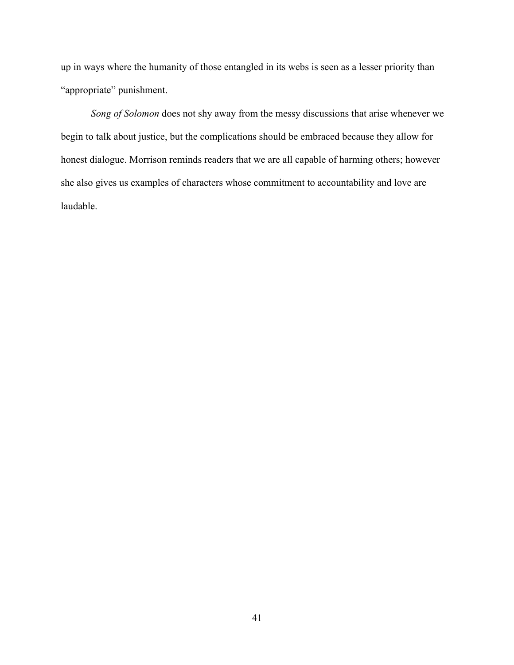up in ways where the humanity of those entangled in its webs is seen as a lesser priority than "appropriate" punishment.

*Song of Solomon* does not shy away from the messy discussions that arise whenever we begin to talk about justice, but the complications should be embraced because they allow for honest dialogue. Morrison reminds readers that we are all capable of harming others; however she also gives us examples of characters whose commitment to accountability and love are laudable.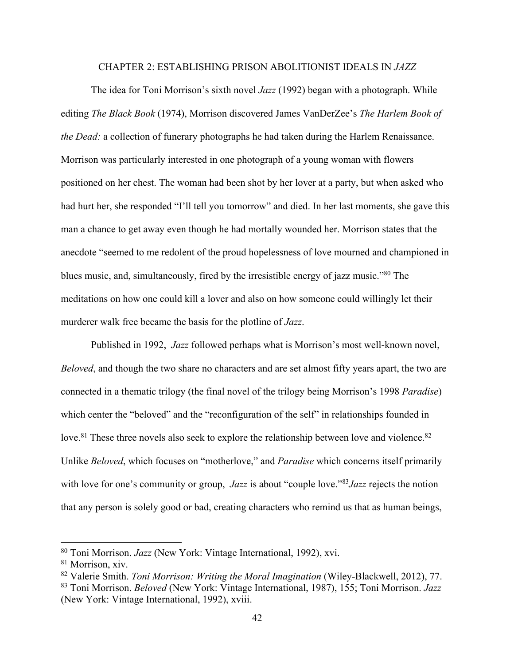## CHAPTER 2: ESTABLISHING PRISON ABOLITIONIST IDEALS IN *JAZZ*

The idea for Toni Morrison's sixth novel *Jazz* (1992) began with a photograph. While editing *The Black Book* (1974), Morrison discovered James VanDerZee's *The Harlem Book of the Dead:* a collection of funerary photographs he had taken during the Harlem Renaissance. Morrison was particularly interested in one photograph of a young woman with flowers positioned on her chest. The woman had been shot by her lover at a party, but when asked who had hurt her, she responded "I'll tell you tomorrow" and died. In her last moments, she gave this man a chance to get away even though he had mortally wounded her. Morrison states that the anecdote "seemed to me redolent of the proud hopelessness of love mourned and championed in blues music, and, simultaneously, fired by the irresistible energy of jazz music."80 The meditations on how one could kill a lover and also on how someone could willingly let their murderer walk free became the basis for the plotline of *Jazz*.

Published in 1992, *Jazz* followed perhaps what is Morrison's most well-known novel, *Beloved*, and though the two share no characters and are set almost fifty years apart, the two are connected in a thematic trilogy (the final novel of the trilogy being Morrison's 1998 *Paradise*) which center the "beloved" and the "reconfiguration of the self" in relationships founded in love.<sup>81</sup> These three novels also seek to explore the relationship between love and violence.<sup>82</sup> Unlike *Beloved*, which focuses on "motherlove," and *Paradise* which concerns itself primarily with love for one's community or group, *Jazz* is about "couple love."83*Jazz* rejects the notion that any person is solely good or bad, creating characters who remind us that as human beings,

<sup>80</sup> Toni Morrison. *Jazz* (New York: Vintage International, 1992), xvi.

<sup>81</sup> Morrison, xiv.

<sup>82</sup> Valerie Smith. *Toni Morrison: Writing the Moral Imagination* (Wiley-Blackwell, 2012), 77. 83 Toni Morrison. *Beloved* (New York: Vintage International, 1987), 155; Toni Morrison. *Jazz*

<sup>(</sup>New York: Vintage International, 1992), xviii.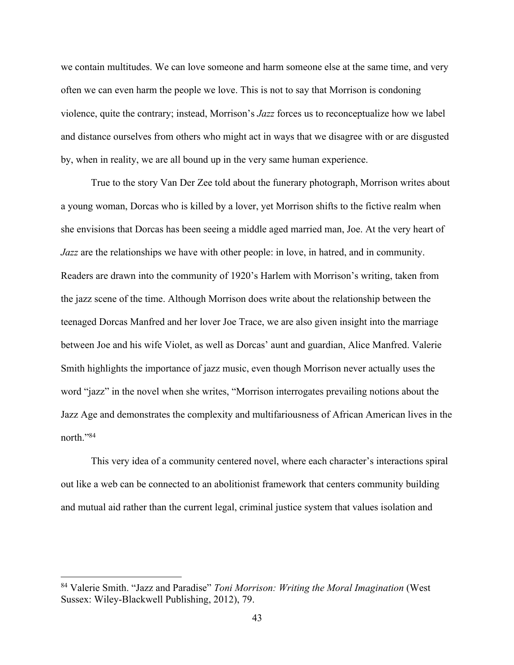we contain multitudes. We can love someone and harm someone else at the same time, and very often we can even harm the people we love. This is not to say that Morrison is condoning violence, quite the contrary; instead, Morrison's *Jazz* forces us to reconceptualize how we label and distance ourselves from others who might act in ways that we disagree with or are disgusted by, when in reality, we are all bound up in the very same human experience.

True to the story Van Der Zee told about the funerary photograph, Morrison writes about a young woman, Dorcas who is killed by a lover, yet Morrison shifts to the fictive realm when she envisions that Dorcas has been seeing a middle aged married man, Joe. At the very heart of *Jazz* are the relationships we have with other people: in love, in hatred, and in community. Readers are drawn into the community of 1920's Harlem with Morrison's writing, taken from the jazz scene of the time. Although Morrison does write about the relationship between the teenaged Dorcas Manfred and her lover Joe Trace, we are also given insight into the marriage between Joe and his wife Violet, as well as Dorcas' aunt and guardian, Alice Manfred. Valerie Smith highlights the importance of jazz music, even though Morrison never actually uses the word "jazz" in the novel when she writes, "Morrison interrogates prevailing notions about the Jazz Age and demonstrates the complexity and multifariousness of African American lives in the north."84

This very idea of a community centered novel, where each character's interactions spiral out like a web can be connected to an abolitionist framework that centers community building and mutual aid rather than the current legal, criminal justice system that values isolation and

<sup>84</sup> Valerie Smith. "Jazz and Paradise" *Toni Morrison: Writing the Moral Imagination* (West Sussex: Wiley-Blackwell Publishing, 2012), 79.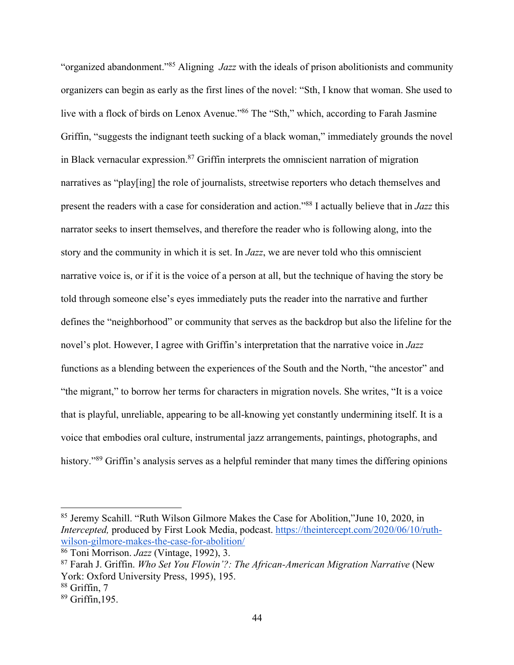"organized abandonment."85 Aligning *Jazz* with the ideals of prison abolitionists and community organizers can begin as early as the first lines of the novel: "Sth, I know that woman. She used to live with a flock of birds on Lenox Avenue."86 The "Sth," which, according to Farah Jasmine Griffin, "suggests the indignant teeth sucking of a black woman," immediately grounds the novel in Black vernacular expression.87 Griffin interprets the omniscient narration of migration narratives as "play[ing] the role of journalists, streetwise reporters who detach themselves and present the readers with a case for consideration and action."88 I actually believe that in *Jazz* this narrator seeks to insert themselves, and therefore the reader who is following along, into the story and the community in which it is set. In *Jazz*, we are never told who this omniscient narrative voice is, or if it is the voice of a person at all, but the technique of having the story be told through someone else's eyes immediately puts the reader into the narrative and further defines the "neighborhood" or community that serves as the backdrop but also the lifeline for the novel's plot. However, I agree with Griffin's interpretation that the narrative voice in *Jazz*  functions as a blending between the experiences of the South and the North, "the ancestor" and "the migrant," to borrow her terms for characters in migration novels. She writes, "It is a voice that is playful, unreliable, appearing to be all-knowing yet constantly undermining itself. It is a voice that embodies oral culture, instrumental jazz arrangements, paintings, photographs, and history."<sup>89</sup> Griffin's analysis serves as a helpful reminder that many times the differing opinions

<sup>85</sup> Jeremy Scahill. "Ruth Wilson Gilmore Makes the Case for Abolition,"June 10, 2020, in *Intercepted,* produced by First Look Media, podcast. https://theintercept.com/2020/06/10/ruthwilson-gilmore-makes-the-case-for-abolition/ 86 Toni Morrison. *Jazz* (Vintage, 1992), 3.

<sup>87</sup> Farah J. Griffin. *Who Set You Flowin'?: The African-American Migration Narrative* (New York: Oxford University Press, 1995), 195.

<sup>88</sup> Griffin, 7

<sup>89</sup> Griffin,195.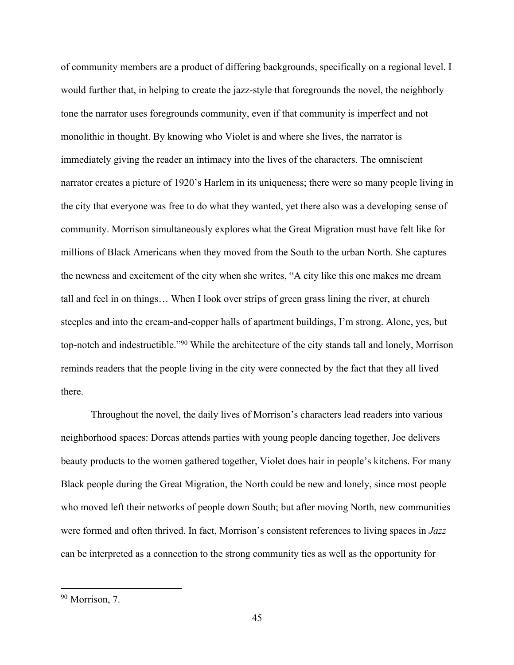of community members are a product of differing backgrounds, specifically on a regional level. I would further that, in helping to create the jazz-style that foregrounds the novel, the neighborly tone the narrator uses foregrounds community, even if that community is imperfect and not monolithic in thought. By knowing who Violet is and where she lives, the narrator is immediately giving the reader an intimacy into the lives of the characters. The omniscient narrator creates a picture of 1920's Harlem in its uniqueness; there were so many people living in the city that everyone was free to do what they wanted, yet there also was a developing sense of community. Morrison simultaneously explores what the Great Migration must have felt like for millions of Black Americans when they moved from the South to the urban North. She captures the newness and excitement of the city when she writes, "A city like this one makes me dream tall and feel in on things… When I look over strips of green grass lining the river, at church steeples and into the cream-and-copper halls of apartment buildings, I'm strong. Alone, yes, but top-notch and indestructible."90 While the architecture of the city stands tall and lonely, Morrison reminds readers that the people living in the city were connected by the fact that they all lived there.

Throughout the novel, the daily lives of Morrison's characters lead readers into various neighborhood spaces: Dorcas attends parties with young people dancing together, Joe delivers beauty products to the women gathered together, Violet does hair in people's kitchens. For many Black people during the Great Migration, the North could be new and lonely, since most people who moved left their networks of people down South; but after moving North, new communities were formed and often thrived. In fact, Morrison's consistent references to living spaces in *Jazz* can be interpreted as a connection to the strong community ties as well as the opportunity for

<sup>90</sup> Morrison, 7.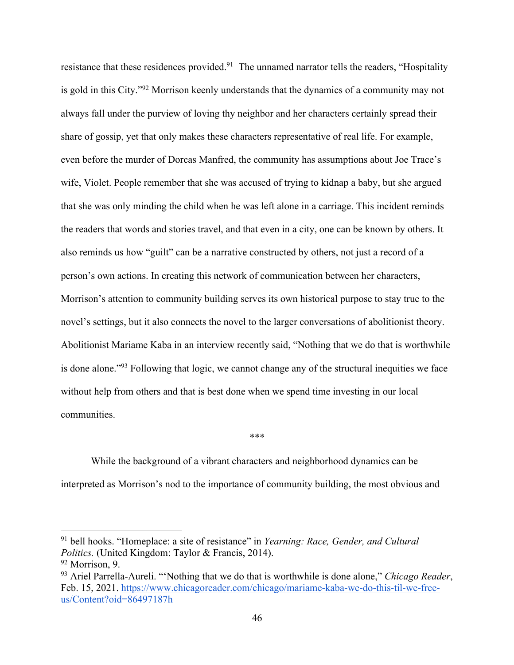resistance that these residences provided.<sup>91</sup> The unnamed narrator tells the readers, "Hospitality" is gold in this City."92 Morrison keenly understands that the dynamics of a community may not always fall under the purview of loving thy neighbor and her characters certainly spread their share of gossip, yet that only makes these characters representative of real life. For example, even before the murder of Dorcas Manfred, the community has assumptions about Joe Trace's wife, Violet. People remember that she was accused of trying to kidnap a baby, but she argued that she was only minding the child when he was left alone in a carriage. This incident reminds the readers that words and stories travel, and that even in a city, one can be known by others. It also reminds us how "guilt" can be a narrative constructed by others, not just a record of a person's own actions. In creating this network of communication between her characters, Morrison's attention to community building serves its own historical purpose to stay true to the novel's settings, but it also connects the novel to the larger conversations of abolitionist theory. Abolitionist Mariame Kaba in an interview recently said, "Nothing that we do that is worthwhile is done alone."93 Following that logic, we cannot change any of the structural inequities we face without help from others and that is best done when we spend time investing in our local communities.

While the background of a vibrant characters and neighborhood dynamics can be interpreted as Morrison's nod to the importance of community building, the most obvious and

\*\*\*

<sup>91</sup> bell hooks. "Homeplace: a site of resistance" in *Yearning: Race, Gender, and Cultural Politics.* (United Kingdom: Taylor & Francis, 2014).

<sup>92</sup> Morrison, 9.

<sup>93</sup> Ariel Parrella-Aureli. "'Nothing that we do that is worthwhile is done alone," *Chicago Reader*, Feb. 15, 2021. https://www.chicagoreader.com/chicago/mariame-kaba-we-do-this-til-we-freeus/Content?oid=86497187h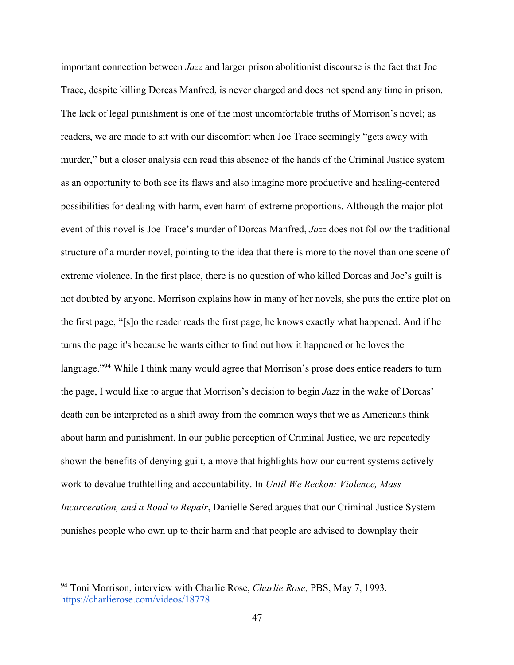important connection between *Jazz* and larger prison abolitionist discourse is the fact that Joe Trace, despite killing Dorcas Manfred, is never charged and does not spend any time in prison. The lack of legal punishment is one of the most uncomfortable truths of Morrison's novel; as readers, we are made to sit with our discomfort when Joe Trace seemingly "gets away with murder," but a closer analysis can read this absence of the hands of the Criminal Justice system as an opportunity to both see its flaws and also imagine more productive and healing-centered possibilities for dealing with harm, even harm of extreme proportions. Although the major plot event of this novel is Joe Trace's murder of Dorcas Manfred, *Jazz* does not follow the traditional structure of a murder novel, pointing to the idea that there is more to the novel than one scene of extreme violence. In the first place, there is no question of who killed Dorcas and Joe's guilt is not doubted by anyone. Morrison explains how in many of her novels, she puts the entire plot on the first page, "[s]o the reader reads the first page, he knows exactly what happened. And if he turns the page it's because he wants either to find out how it happened or he loves the language."<sup>94</sup> While I think many would agree that Morrison's prose does entice readers to turn the page, I would like to argue that Morrison's decision to begin *Jazz* in the wake of Dorcas' death can be interpreted as a shift away from the common ways that we as Americans think about harm and punishment. In our public perception of Criminal Justice, we are repeatedly shown the benefits of denying guilt, a move that highlights how our current systems actively work to devalue truthtelling and accountability. In *Until We Reckon: Violence, Mass Incarceration, and a Road to Repair*, Danielle Sered argues that our Criminal Justice System punishes people who own up to their harm and that people are advised to downplay their

<sup>94</sup> Toni Morrison, interview with Charlie Rose, *Charlie Rose,* PBS, May 7, 1993. https://charlierose.com/videos/18778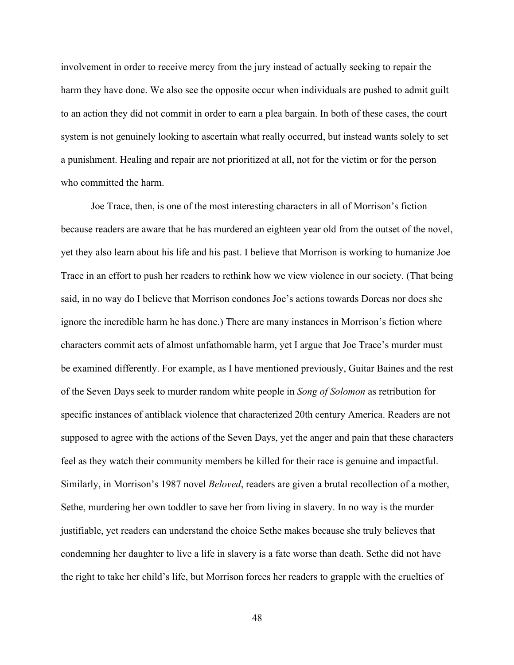involvement in order to receive mercy from the jury instead of actually seeking to repair the harm they have done. We also see the opposite occur when individuals are pushed to admit guilt to an action they did not commit in order to earn a plea bargain. In both of these cases, the court system is not genuinely looking to ascertain what really occurred, but instead wants solely to set a punishment. Healing and repair are not prioritized at all, not for the victim or for the person who committed the harm.

Joe Trace, then, is one of the most interesting characters in all of Morrison's fiction because readers are aware that he has murdered an eighteen year old from the outset of the novel, yet they also learn about his life and his past. I believe that Morrison is working to humanize Joe Trace in an effort to push her readers to rethink how we view violence in our society. (That being said, in no way do I believe that Morrison condones Joe's actions towards Dorcas nor does she ignore the incredible harm he has done.) There are many instances in Morrison's fiction where characters commit acts of almost unfathomable harm, yet I argue that Joe Trace's murder must be examined differently. For example, as I have mentioned previously, Guitar Baines and the rest of the Seven Days seek to murder random white people in *Song of Solomon* as retribution for specific instances of antiblack violence that characterized 20th century America. Readers are not supposed to agree with the actions of the Seven Days, yet the anger and pain that these characters feel as they watch their community members be killed for their race is genuine and impactful. Similarly, in Morrison's 1987 novel *Beloved*, readers are given a brutal recollection of a mother, Sethe, murdering her own toddler to save her from living in slavery. In no way is the murder justifiable, yet readers can understand the choice Sethe makes because she truly believes that condemning her daughter to live a life in slavery is a fate worse than death. Sethe did not have the right to take her child's life, but Morrison forces her readers to grapple with the cruelties of

48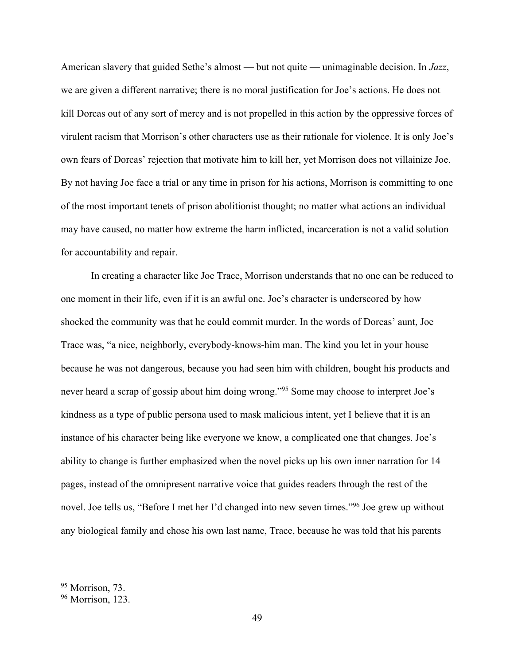American slavery that guided Sethe's almost — but not quite — unimaginable decision. In *Jazz*, we are given a different narrative; there is no moral justification for Joe's actions. He does not kill Dorcas out of any sort of mercy and is not propelled in this action by the oppressive forces of virulent racism that Morrison's other characters use as their rationale for violence. It is only Joe's own fears of Dorcas' rejection that motivate him to kill her, yet Morrison does not villainize Joe. By not having Joe face a trial or any time in prison for his actions, Morrison is committing to one of the most important tenets of prison abolitionist thought; no matter what actions an individual may have caused, no matter how extreme the harm inflicted, incarceration is not a valid solution for accountability and repair.

In creating a character like Joe Trace, Morrison understands that no one can be reduced to one moment in their life, even if it is an awful one. Joe's character is underscored by how shocked the community was that he could commit murder. In the words of Dorcas' aunt, Joe Trace was, "a nice, neighborly, everybody-knows-him man. The kind you let in your house because he was not dangerous, because you had seen him with children, bought his products and never heard a scrap of gossip about him doing wrong."<sup>95</sup> Some may choose to interpret Joe's kindness as a type of public persona used to mask malicious intent, yet I believe that it is an instance of his character being like everyone we know, a complicated one that changes. Joe's ability to change is further emphasized when the novel picks up his own inner narration for 14 pages, instead of the omnipresent narrative voice that guides readers through the rest of the novel. Joe tells us, "Before I met her I'd changed into new seven times."96 Joe grew up without any biological family and chose his own last name, Trace, because he was told that his parents

<sup>95</sup> Morrison, 73.

<sup>96</sup> Morrison, 123.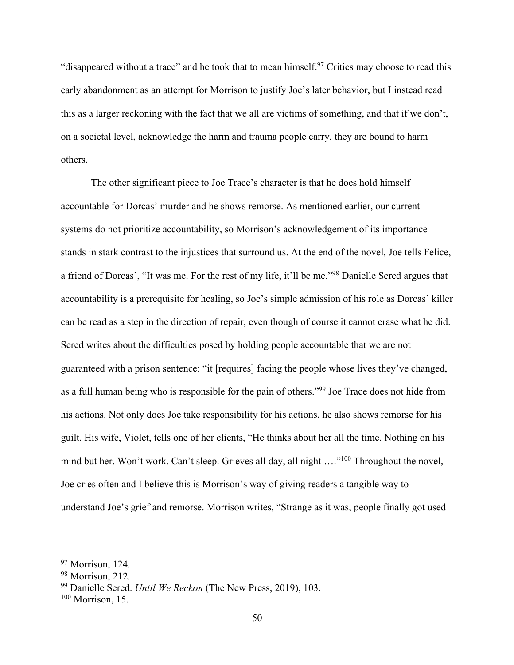"disappeared without a trace" and he took that to mean himself.<sup>97</sup> Critics may choose to read this early abandonment as an attempt for Morrison to justify Joe's later behavior, but I instead read this as a larger reckoning with the fact that we all are victims of something, and that if we don't, on a societal level, acknowledge the harm and trauma people carry, they are bound to harm others.

The other significant piece to Joe Trace's character is that he does hold himself accountable for Dorcas' murder and he shows remorse. As mentioned earlier, our current systems do not prioritize accountability, so Morrison's acknowledgement of its importance stands in stark contrast to the injustices that surround us. At the end of the novel, Joe tells Felice, a friend of Dorcas', "It was me. For the rest of my life, it'll be me."98 Danielle Sered argues that accountability is a prerequisite for healing, so Joe's simple admission of his role as Dorcas' killer can be read as a step in the direction of repair, even though of course it cannot erase what he did. Sered writes about the difficulties posed by holding people accountable that we are not guaranteed with a prison sentence: "it [requires] facing the people whose lives they've changed, as a full human being who is responsible for the pain of others."99 Joe Trace does not hide from his actions. Not only does Joe take responsibility for his actions, he also shows remorse for his guilt. His wife, Violet, tells one of her clients, "He thinks about her all the time. Nothing on his mind but her. Won't work. Can't sleep. Grieves all day, all night ...."<sup>100</sup> Throughout the novel, Joe cries often and I believe this is Morrison's way of giving readers a tangible way to understand Joe's grief and remorse. Morrison writes, "Strange as it was, people finally got used

<sup>97</sup> Morrison, 124.

<sup>98</sup> Morrison, 212.

<sup>99</sup> Danielle Sered. *Until We Reckon* (The New Press, 2019), 103.

 $100$  Morrison, 15.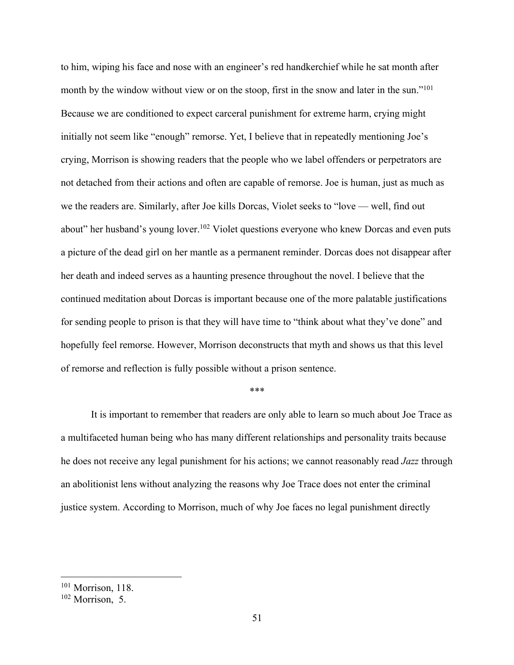to him, wiping his face and nose with an engineer's red handkerchief while he sat month after month by the window without view or on the stoop, first in the snow and later in the sun."<sup>101</sup> Because we are conditioned to expect carceral punishment for extreme harm, crying might initially not seem like "enough" remorse. Yet, I believe that in repeatedly mentioning Joe's crying, Morrison is showing readers that the people who we label offenders or perpetrators are not detached from their actions and often are capable of remorse. Joe is human, just as much as we the readers are. Similarly, after Joe kills Dorcas, Violet seeks to "love — well, find out about" her husband's young lover.<sup>102</sup> Violet questions everyone who knew Dorcas and even puts a picture of the dead girl on her mantle as a permanent reminder. Dorcas does not disappear after her death and indeed serves as a haunting presence throughout the novel. I believe that the continued meditation about Dorcas is important because one of the more palatable justifications for sending people to prison is that they will have time to "think about what they've done" and hopefully feel remorse. However, Morrison deconstructs that myth and shows us that this level of remorse and reflection is fully possible without a prison sentence.

## \*\*\*

It is important to remember that readers are only able to learn so much about Joe Trace as a multifaceted human being who has many different relationships and personality traits because he does not receive any legal punishment for his actions; we cannot reasonably read *Jazz* through an abolitionist lens without analyzing the reasons why Joe Trace does not enter the criminal justice system. According to Morrison, much of why Joe faces no legal punishment directly

<sup>&</sup>lt;sup>101</sup> Morrison, 118.

<sup>102</sup> Morrison, 5.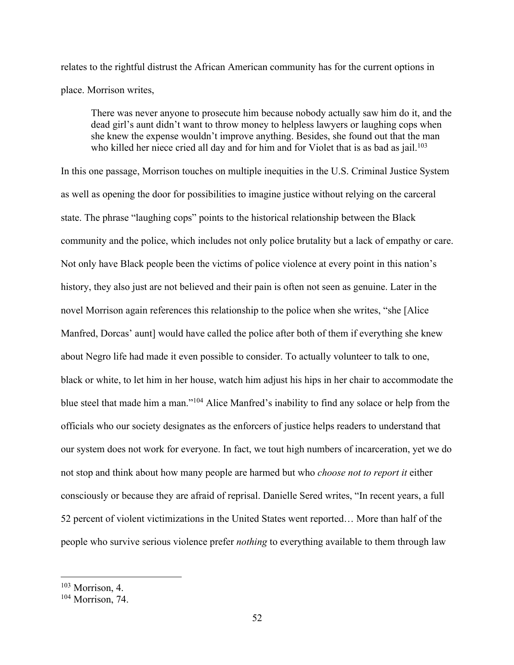relates to the rightful distrust the African American community has for the current options in place. Morrison writes,

There was never anyone to prosecute him because nobody actually saw him do it, and the dead girl's aunt didn't want to throw money to helpless lawyers or laughing cops when she knew the expense wouldn't improve anything. Besides, she found out that the man who killed her niece cried all day and for him and for Violet that is as bad as jail.<sup>103</sup>

In this one passage, Morrison touches on multiple inequities in the U.S. Criminal Justice System as well as opening the door for possibilities to imagine justice without relying on the carceral state. The phrase "laughing cops" points to the historical relationship between the Black community and the police, which includes not only police brutality but a lack of empathy or care. Not only have Black people been the victims of police violence at every point in this nation's history, they also just are not believed and their pain is often not seen as genuine. Later in the novel Morrison again references this relationship to the police when she writes, "she [Alice Manfred, Dorcas' aunt] would have called the police after both of them if everything she knew about Negro life had made it even possible to consider. To actually volunteer to talk to one, black or white, to let him in her house, watch him adjust his hips in her chair to accommodate the blue steel that made him a man."104 Alice Manfred's inability to find any solace or help from the officials who our society designates as the enforcers of justice helps readers to understand that our system does not work for everyone. In fact, we tout high numbers of incarceration, yet we do not stop and think about how many people are harmed but who *choose not to report it* either consciously or because they are afraid of reprisal. Danielle Sered writes, "In recent years, a full 52 percent of violent victimizations in the United States went reported… More than half of the people who survive serious violence prefer *nothing* to everything available to them through law

<sup>103</sup> Morrison, 4.

<sup>104</sup> Morrison, 74.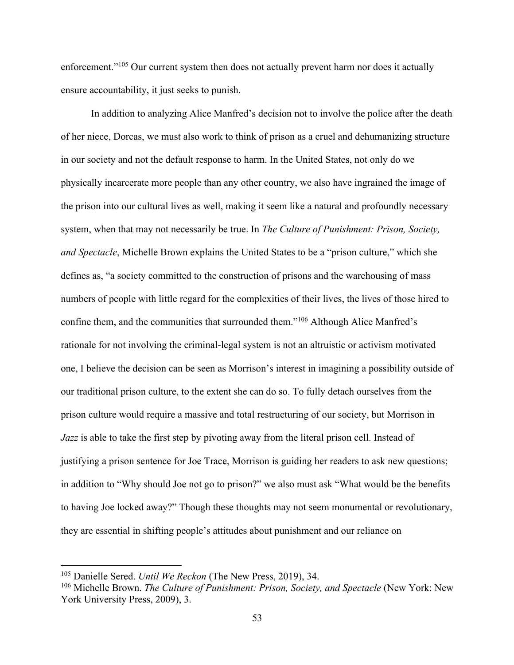enforcement."<sup>105</sup> Our current system then does not actually prevent harm nor does it actually ensure accountability, it just seeks to punish.

In addition to analyzing Alice Manfred's decision not to involve the police after the death of her niece, Dorcas, we must also work to think of prison as a cruel and dehumanizing structure in our society and not the default response to harm. In the United States, not only do we physically incarcerate more people than any other country, we also have ingrained the image of the prison into our cultural lives as well, making it seem like a natural and profoundly necessary system, when that may not necessarily be true. In *The Culture of Punishment: Prison, Society, and Spectacle*, Michelle Brown explains the United States to be a "prison culture," which she defines as, "a society committed to the construction of prisons and the warehousing of mass numbers of people with little regard for the complexities of their lives, the lives of those hired to confine them, and the communities that surrounded them."106 Although Alice Manfred's rationale for not involving the criminal-legal system is not an altruistic or activism motivated one, I believe the decision can be seen as Morrison's interest in imagining a possibility outside of our traditional prison culture, to the extent she can do so. To fully detach ourselves from the prison culture would require a massive and total restructuring of our society, but Morrison in *Jazz* is able to take the first step by pivoting away from the literal prison cell. Instead of justifying a prison sentence for Joe Trace, Morrison is guiding her readers to ask new questions; in addition to "Why should Joe not go to prison?" we also must ask "What would be the benefits to having Joe locked away?" Though these thoughts may not seem monumental or revolutionary, they are essential in shifting people's attitudes about punishment and our reliance on

<sup>105</sup> Danielle Sered. *Until We Reckon* (The New Press, 2019), 34.

<sup>106</sup> Michelle Brown. *The Culture of Punishment: Prison, Society, and Spectacle* (New York: New York University Press, 2009), 3.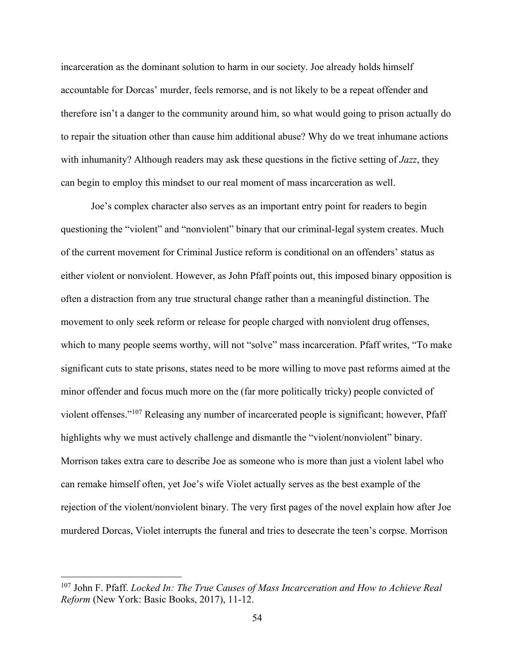incarceration as the dominant solution to harm in our society. Joe already holds himself accountable for Dorcas' murder, feels remorse, and is not likely to be a repeat offender and therefore isn't a danger to the community around him, so what would going to prison actually do to repair the situation other than cause him additional abuse? Why do we treat inhumane actions with inhumanity? Although readers may ask these questions in the fictive setting of *Jazz*, they can begin to employ this mindset to our real moment of mass incarceration as well.

Joe's complex character also serves as an important entry point for readers to begin questioning the "violent" and "nonviolent" binary that our criminal-legal system creates. Much of the current movement for Criminal Justice reform is conditional on an offenders' status as either violent or nonviolent. However, as John Pfaff points out, this imposed binary opposition is often a distraction from any true structural change rather than a meaningful distinction. The movement to only seek reform or release for people charged with nonviolent drug offenses, which to many people seems worthy, will not "solve" mass incarceration. Pfaff writes, "To make significant cuts to state prisons, states need to be more willing to move past reforms aimed at the minor offender and focus much more on the (far more politically tricky) people convicted of violent offenses."107 Releasing any number of incarcerated people is significant; however, Pfaff highlights why we must actively challenge and dismantle the "violent/nonviolent" binary. Morrison takes extra care to describe Joe as someone who is more than just a violent label who can remake himself often, yet Joe's wife Violet actually serves as the best example of the rejection of the violent/nonviolent binary. The very first pages of the novel explain how after Joe murdered Dorcas, Violet interrupts the funeral and tries to desecrate the teen's corpse. Morrison

<sup>107</sup> John F. Pfaff. *Locked In: The True Causes of Mass Incarceration and How to Achieve Real Reform* (New York: Basic Books, 2017), 11-12.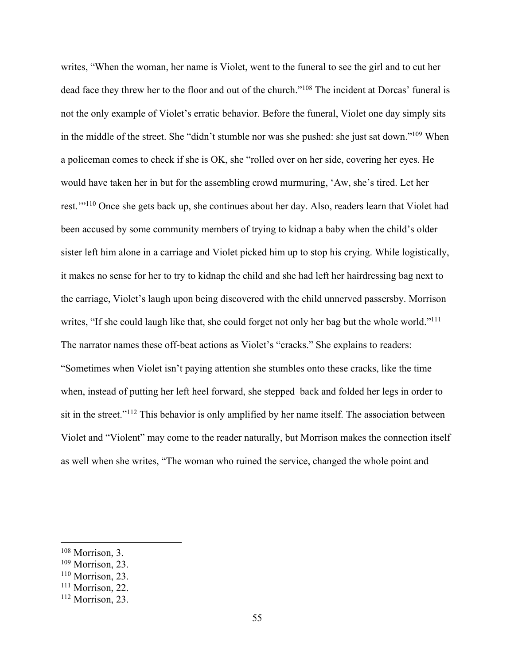writes, "When the woman, her name is Violet, went to the funeral to see the girl and to cut her dead face they threw her to the floor and out of the church."108 The incident at Dorcas' funeral is not the only example of Violet's erratic behavior. Before the funeral, Violet one day simply sits in the middle of the street. She "didn't stumble nor was she pushed: she just sat down."109 When a policeman comes to check if she is OK, she "rolled over on her side, covering her eyes. He would have taken her in but for the assembling crowd murmuring, 'Aw, she's tired. Let her rest.'"110 Once she gets back up, she continues about her day. Also, readers learn that Violet had been accused by some community members of trying to kidnap a baby when the child's older sister left him alone in a carriage and Violet picked him up to stop his crying. While logistically, it makes no sense for her to try to kidnap the child and she had left her hairdressing bag next to the carriage, Violet's laugh upon being discovered with the child unnerved passersby. Morrison writes, "If she could laugh like that, she could forget not only her bag but the whole world."<sup>111</sup> The narrator names these off-beat actions as Violet's "cracks." She explains to readers: "Sometimes when Violet isn't paying attention she stumbles onto these cracks, like the time when, instead of putting her left heel forward, she stepped back and folded her legs in order to sit in the street."<sup>112</sup> This behavior is only amplified by her name itself. The association between Violet and "Violent" may come to the reader naturally, but Morrison makes the connection itself as well when she writes, "The woman who ruined the service, changed the whole point and

<sup>108</sup> Morrison, 3.

<sup>109</sup> Morrison, 23.

<sup>110</sup> Morrison, 23.

<sup>&</sup>lt;sup>111</sup> Morrison, 22.

<sup>112</sup> Morrison, 23.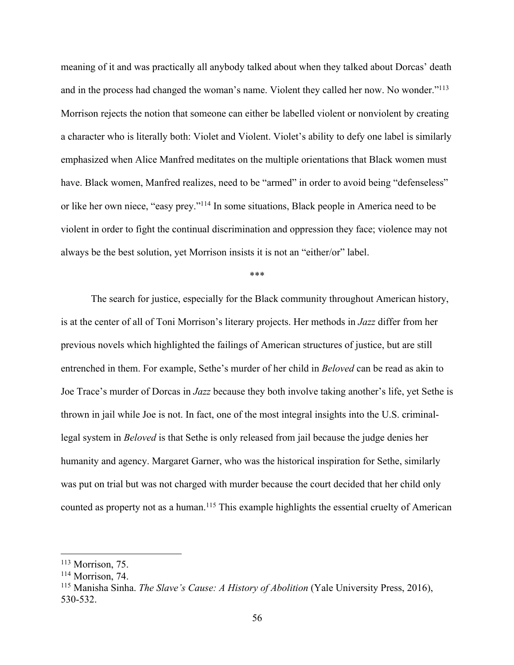meaning of it and was practically all anybody talked about when they talked about Dorcas' death and in the process had changed the woman's name. Violent they called her now. No wonder."113 Morrison rejects the notion that someone can either be labelled violent or nonviolent by creating a character who is literally both: Violet and Violent. Violet's ability to defy one label is similarly emphasized when Alice Manfred meditates on the multiple orientations that Black women must have. Black women, Manfred realizes, need to be "armed" in order to avoid being "defenseless" or like her own niece, "easy prey."114 In some situations, Black people in America need to be violent in order to fight the continual discrimination and oppression they face; violence may not always be the best solution, yet Morrison insists it is not an "either/or" label.

\*\*\*

The search for justice, especially for the Black community throughout American history, is at the center of all of Toni Morrison's literary projects. Her methods in *Jazz* differ from her previous novels which highlighted the failings of American structures of justice, but are still entrenched in them. For example, Sethe's murder of her child in *Beloved* can be read as akin to Joe Trace's murder of Dorcas in *Jazz* because they both involve taking another's life, yet Sethe is thrown in jail while Joe is not. In fact, one of the most integral insights into the U.S. criminallegal system in *Beloved* is that Sethe is only released from jail because the judge denies her humanity and agency. Margaret Garner, who was the historical inspiration for Sethe, similarly was put on trial but was not charged with murder because the court decided that her child only counted as property not as a human.<sup>115</sup> This example highlights the essential cruelty of American

<sup>113</sup> Morrison, 75.

<sup>&</sup>lt;sup>114</sup> Morrison, 74.

<sup>115</sup> Manisha Sinha. *The Slave's Cause: A History of Abolition* (Yale University Press, 2016), 530-532.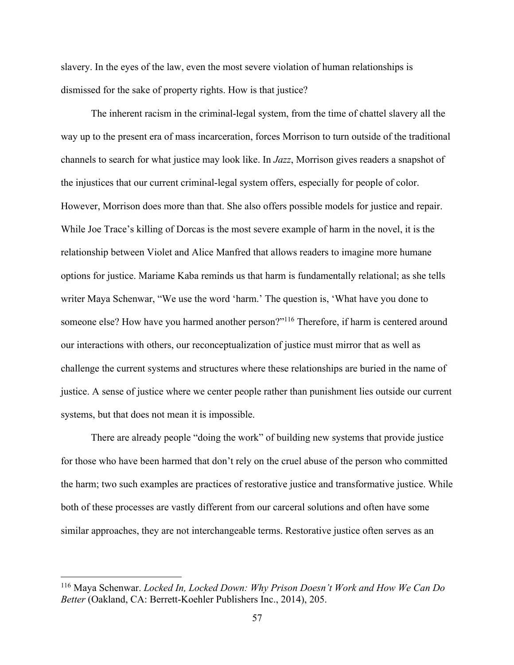slavery. In the eyes of the law, even the most severe violation of human relationships is dismissed for the sake of property rights. How is that justice?

The inherent racism in the criminal-legal system, from the time of chattel slavery all the way up to the present era of mass incarceration, forces Morrison to turn outside of the traditional channels to search for what justice may look like. In *Jazz*, Morrison gives readers a snapshot of the injustices that our current criminal-legal system offers, especially for people of color. However, Morrison does more than that. She also offers possible models for justice and repair. While Joe Trace's killing of Dorcas is the most severe example of harm in the novel, it is the relationship between Violet and Alice Manfred that allows readers to imagine more humane options for justice. Mariame Kaba reminds us that harm is fundamentally relational; as she tells writer Maya Schenwar, "We use the word 'harm.' The question is, 'What have you done to someone else? How have you harmed another person?"<sup>116</sup> Therefore, if harm is centered around our interactions with others, our reconceptualization of justice must mirror that as well as challenge the current systems and structures where these relationships are buried in the name of justice. A sense of justice where we center people rather than punishment lies outside our current systems, but that does not mean it is impossible.

There are already people "doing the work" of building new systems that provide justice for those who have been harmed that don't rely on the cruel abuse of the person who committed the harm; two such examples are practices of restorative justice and transformative justice. While both of these processes are vastly different from our carceral solutions and often have some similar approaches, they are not interchangeable terms. Restorative justice often serves as an

<sup>116</sup> Maya Schenwar. *Locked In, Locked Down: Why Prison Doesn't Work and How We Can Do Better* (Oakland, CA: Berrett-Koehler Publishers Inc., 2014), 205.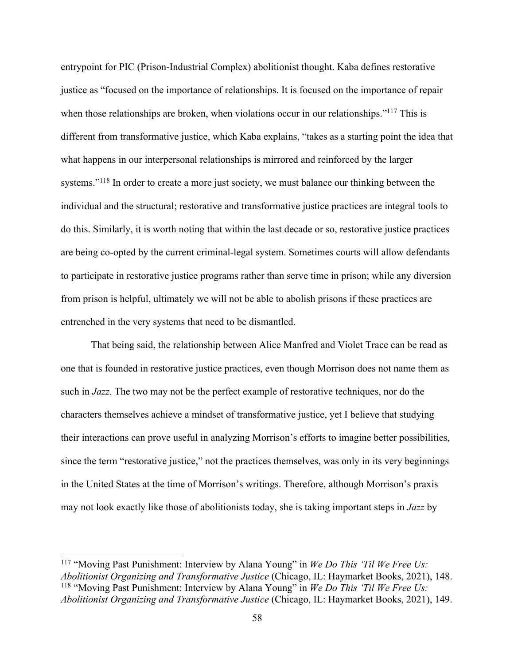entrypoint for PIC (Prison-Industrial Complex) abolitionist thought. Kaba defines restorative justice as "focused on the importance of relationships. It is focused on the importance of repair when those relationships are broken, when violations occur in our relationships."<sup>117</sup> This is different from transformative justice, which Kaba explains, "takes as a starting point the idea that what happens in our interpersonal relationships is mirrored and reinforced by the larger systems."<sup>118</sup> In order to create a more just society, we must balance our thinking between the individual and the structural; restorative and transformative justice practices are integral tools to do this. Similarly, it is worth noting that within the last decade or so, restorative justice practices are being co-opted by the current criminal-legal system. Sometimes courts will allow defendants to participate in restorative justice programs rather than serve time in prison; while any diversion from prison is helpful, ultimately we will not be able to abolish prisons if these practices are entrenched in the very systems that need to be dismantled.

That being said, the relationship between Alice Manfred and Violet Trace can be read as one that is founded in restorative justice practices, even though Morrison does not name them as such in *Jazz*. The two may not be the perfect example of restorative techniques, nor do the characters themselves achieve a mindset of transformative justice, yet I believe that studying their interactions can prove useful in analyzing Morrison's efforts to imagine better possibilities, since the term "restorative justice," not the practices themselves, was only in its very beginnings in the United States at the time of Morrison's writings. Therefore, although Morrison's praxis may not look exactly like those of abolitionists today, she is taking important steps in *Jazz* by

<sup>117</sup> "Moving Past Punishment: Interview by Alana Young" in *We Do This 'Til We Free Us: Abolitionist Organizing and Transformative Justice* (Chicago, IL: Haymarket Books, 2021), 148. <sup>118</sup> "Moving Past Punishment: Interview by Alana Young" in *We Do This 'Til We Free Us: Abolitionist Organizing and Transformative Justice* (Chicago, IL: Haymarket Books, 2021), 149.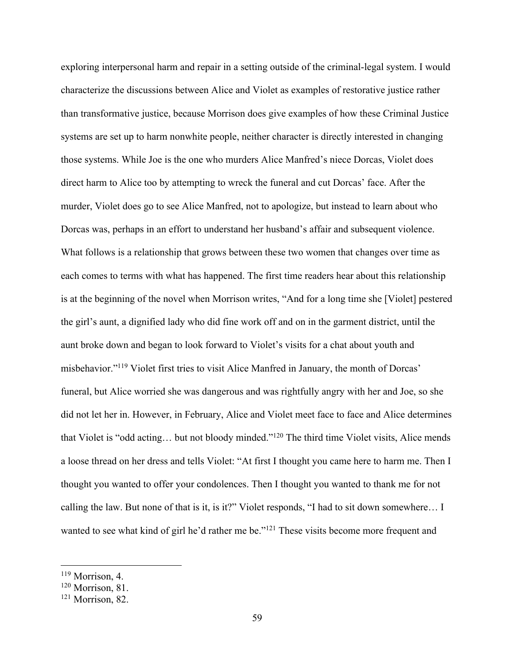exploring interpersonal harm and repair in a setting outside of the criminal-legal system. I would characterize the discussions between Alice and Violet as examples of restorative justice rather than transformative justice, because Morrison does give examples of how these Criminal Justice systems are set up to harm nonwhite people, neither character is directly interested in changing those systems. While Joe is the one who murders Alice Manfred's niece Dorcas, Violet does direct harm to Alice too by attempting to wreck the funeral and cut Dorcas' face. After the murder, Violet does go to see Alice Manfred, not to apologize, but instead to learn about who Dorcas was, perhaps in an effort to understand her husband's affair and subsequent violence. What follows is a relationship that grows between these two women that changes over time as each comes to terms with what has happened. The first time readers hear about this relationship is at the beginning of the novel when Morrison writes, "And for a long time she [Violet] pestered the girl's aunt, a dignified lady who did fine work off and on in the garment district, until the aunt broke down and began to look forward to Violet's visits for a chat about youth and misbehavior."119 Violet first tries to visit Alice Manfred in January, the month of Dorcas' funeral, but Alice worried she was dangerous and was rightfully angry with her and Joe, so she did not let her in. However, in February, Alice and Violet meet face to face and Alice determines that Violet is "odd acting… but not bloody minded."120 The third time Violet visits, Alice mends a loose thread on her dress and tells Violet: "At first I thought you came here to harm me. Then I thought you wanted to offer your condolences. Then I thought you wanted to thank me for not calling the law. But none of that is it, is it?" Violet responds, "I had to sit down somewhere… I wanted to see what kind of girl he'd rather me be."<sup>121</sup> These visits become more frequent and

<sup>119</sup> Morrison, 4.

<sup>&</sup>lt;sup>120</sup> Morrison, 81.

<sup>&</sup>lt;sup>121</sup> Morrison, 82.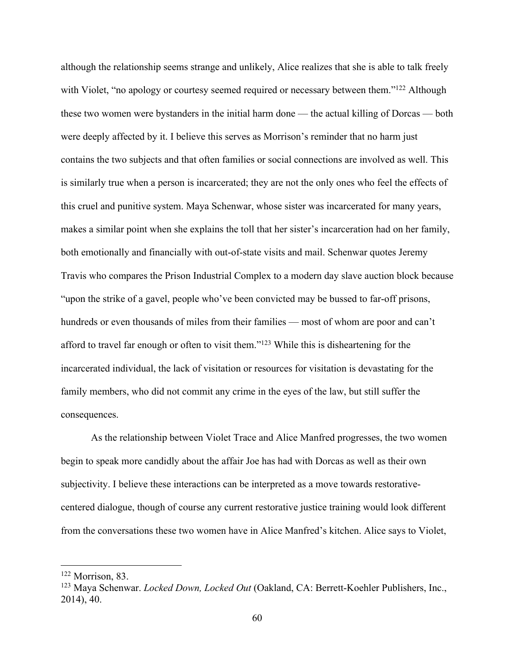although the relationship seems strange and unlikely, Alice realizes that she is able to talk freely with Violet, "no apology or courtesy seemed required or necessary between them."<sup>122</sup> Although these two women were bystanders in the initial harm done — the actual killing of Dorcas — both were deeply affected by it. I believe this serves as Morrison's reminder that no harm just contains the two subjects and that often families or social connections are involved as well. This is similarly true when a person is incarcerated; they are not the only ones who feel the effects of this cruel and punitive system. Maya Schenwar, whose sister was incarcerated for many years, makes a similar point when she explains the toll that her sister's incarceration had on her family, both emotionally and financially with out-of-state visits and mail. Schenwar quotes Jeremy Travis who compares the Prison Industrial Complex to a modern day slave auction block because "upon the strike of a gavel, people who've been convicted may be bussed to far-off prisons, hundreds or even thousands of miles from their families — most of whom are poor and can't afford to travel far enough or often to visit them."123 While this is disheartening for the incarcerated individual, the lack of visitation or resources for visitation is devastating for the family members, who did not commit any crime in the eyes of the law, but still suffer the consequences.

As the relationship between Violet Trace and Alice Manfred progresses, the two women begin to speak more candidly about the affair Joe has had with Dorcas as well as their own subjectivity. I believe these interactions can be interpreted as a move towards restorativecentered dialogue, though of course any current restorative justice training would look different from the conversations these two women have in Alice Manfred's kitchen. Alice says to Violet,

 $122$  Morrison, 83.

<sup>123</sup> Maya Schenwar. *Locked Down, Locked Out* (Oakland, CA: Berrett-Koehler Publishers, Inc., 2014), 40.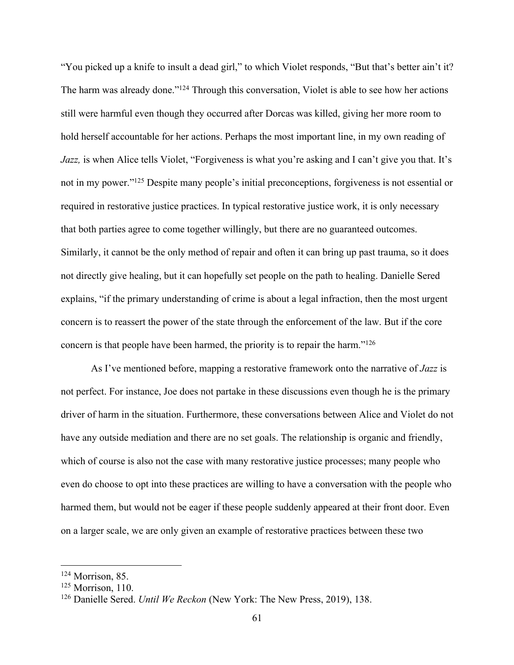"You picked up a knife to insult a dead girl," to which Violet responds, "But that's better ain't it? The harm was already done."<sup>124</sup> Through this conversation, Violet is able to see how her actions still were harmful even though they occurred after Dorcas was killed, giving her more room to hold herself accountable for her actions. Perhaps the most important line, in my own reading of *Jazz*, is when Alice tells Violet, "Forgiveness is what you're asking and I can't give you that. It's not in my power."125 Despite many people's initial preconceptions, forgiveness is not essential or required in restorative justice practices. In typical restorative justice work, it is only necessary that both parties agree to come together willingly, but there are no guaranteed outcomes. Similarly, it cannot be the only method of repair and often it can bring up past trauma, so it does not directly give healing, but it can hopefully set people on the path to healing. Danielle Sered explains, "if the primary understanding of crime is about a legal infraction, then the most urgent concern is to reassert the power of the state through the enforcement of the law. But if the core concern is that people have been harmed, the priority is to repair the harm."126

As I've mentioned before, mapping a restorative framework onto the narrative of *Jazz* is not perfect. For instance, Joe does not partake in these discussions even though he is the primary driver of harm in the situation. Furthermore, these conversations between Alice and Violet do not have any outside mediation and there are no set goals. The relationship is organic and friendly, which of course is also not the case with many restorative justice processes; many people who even do choose to opt into these practices are willing to have a conversation with the people who harmed them, but would not be eager if these people suddenly appeared at their front door. Even on a larger scale, we are only given an example of restorative practices between these two

<sup>124</sup> Morrison, 85.

<sup>&</sup>lt;sup>125</sup> Morrison, 110.

<sup>126</sup> Danielle Sered. *Until We Reckon* (New York: The New Press, 2019), 138.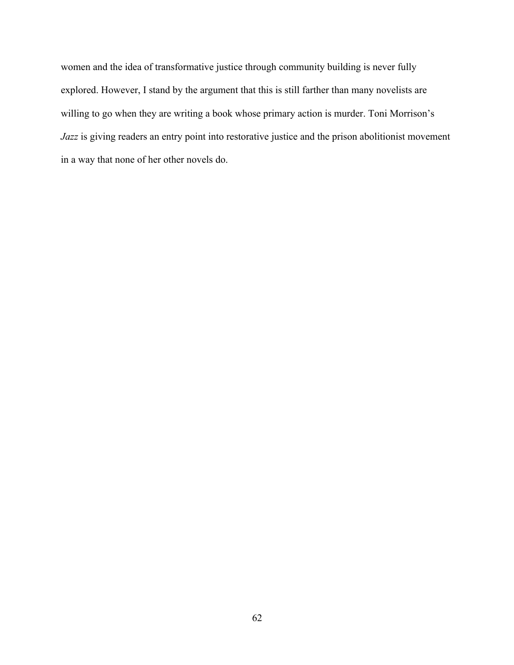women and the idea of transformative justice through community building is never fully explored. However, I stand by the argument that this is still farther than many novelists are willing to go when they are writing a book whose primary action is murder. Toni Morrison's *Jazz* is giving readers an entry point into restorative justice and the prison abolitionist movement in a way that none of her other novels do.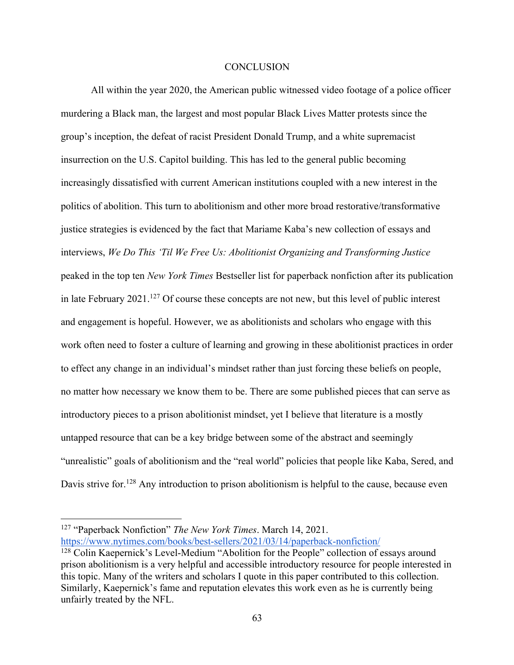## **CONCLUSION**

All within the year 2020, the American public witnessed video footage of a police officer murdering a Black man, the largest and most popular Black Lives Matter protests since the group's inception, the defeat of racist President Donald Trump, and a white supremacist insurrection on the U.S. Capitol building. This has led to the general public becoming increasingly dissatisfied with current American institutions coupled with a new interest in the politics of abolition. This turn to abolitionism and other more broad restorative/transformative justice strategies is evidenced by the fact that Mariame Kaba's new collection of essays and interviews, *We Do This 'Til We Free Us: Abolitionist Organizing and Transforming Justice*  peaked in the top ten *New York Times* Bestseller list for paperback nonfiction after its publication in late February  $2021$ .<sup>127</sup> Of course these concepts are not new, but this level of public interest and engagement is hopeful. However, we as abolitionists and scholars who engage with this work often need to foster a culture of learning and growing in these abolitionist practices in order to effect any change in an individual's mindset rather than just forcing these beliefs on people, no matter how necessary we know them to be. There are some published pieces that can serve as introductory pieces to a prison abolitionist mindset, yet I believe that literature is a mostly untapped resource that can be a key bridge between some of the abstract and seemingly "unrealistic" goals of abolitionism and the "real world" policies that people like Kaba, Sered, and Davis strive for.<sup>128</sup> Any introduction to prison abolitionism is helpful to the cause, because even

<sup>127</sup> "Paperback Nonfiction" *The New York Times*. March 14, 2021. https://www.nytimes.com/books/best-sellers/2021/03/14/paperback-nonfiction/

<sup>&</sup>lt;sup>128</sup> Colin Kaepernick's Level-Medium "Abolition for the People" collection of essays around prison abolitionism is a very helpful and accessible introductory resource for people interested in this topic. Many of the writers and scholars I quote in this paper contributed to this collection. Similarly, Kaepernick's fame and reputation elevates this work even as he is currently being unfairly treated by the NFL.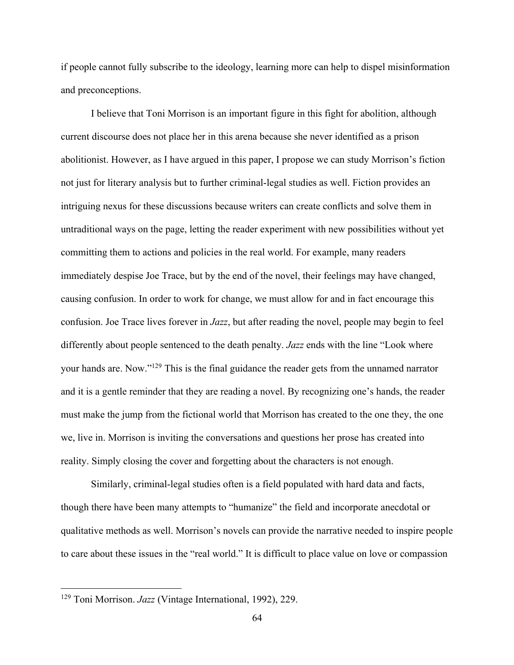if people cannot fully subscribe to the ideology, learning more can help to dispel misinformation and preconceptions.

I believe that Toni Morrison is an important figure in this fight for abolition, although current discourse does not place her in this arena because she never identified as a prison abolitionist. However, as I have argued in this paper, I propose we can study Morrison's fiction not just for literary analysis but to further criminal-legal studies as well. Fiction provides an intriguing nexus for these discussions because writers can create conflicts and solve them in untraditional ways on the page, letting the reader experiment with new possibilities without yet committing them to actions and policies in the real world. For example, many readers immediately despise Joe Trace, but by the end of the novel, their feelings may have changed, causing confusion. In order to work for change, we must allow for and in fact encourage this confusion. Joe Trace lives forever in *Jazz*, but after reading the novel, people may begin to feel differently about people sentenced to the death penalty. *Jazz* ends with the line "Look where your hands are. Now."129 This is the final guidance the reader gets from the unnamed narrator and it is a gentle reminder that they are reading a novel. By recognizing one's hands, the reader must make the jump from the fictional world that Morrison has created to the one they, the one we, live in. Morrison is inviting the conversations and questions her prose has created into reality. Simply closing the cover and forgetting about the characters is not enough.

Similarly, criminal-legal studies often is a field populated with hard data and facts, though there have been many attempts to "humanize" the field and incorporate anecdotal or qualitative methods as well. Morrison's novels can provide the narrative needed to inspire people to care about these issues in the "real world." It is difficult to place value on love or compassion

<sup>129</sup> Toni Morrison. *Jazz* (Vintage International, 1992), 229.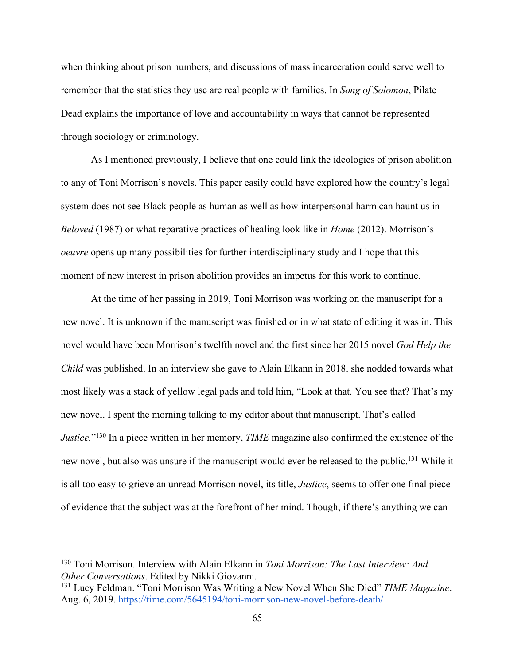when thinking about prison numbers, and discussions of mass incarceration could serve well to remember that the statistics they use are real people with families. In *Song of Solomon*, Pilate Dead explains the importance of love and accountability in ways that cannot be represented through sociology or criminology.

As I mentioned previously, I believe that one could link the ideologies of prison abolition to any of Toni Morrison's novels. This paper easily could have explored how the country's legal system does not see Black people as human as well as how interpersonal harm can haunt us in *Beloved* (1987) or what reparative practices of healing look like in *Home* (2012). Morrison's *oeuvre* opens up many possibilities for further interdisciplinary study and I hope that this moment of new interest in prison abolition provides an impetus for this work to continue.

At the time of her passing in 2019, Toni Morrison was working on the manuscript for a new novel. It is unknown if the manuscript was finished or in what state of editing it was in. This novel would have been Morrison's twelfth novel and the first since her 2015 novel *God Help the Child* was published. In an interview she gave to Alain Elkann in 2018, she nodded towards what most likely was a stack of yellow legal pads and told him, "Look at that. You see that? That's my new novel. I spent the morning talking to my editor about that manuscript. That's called *Justice.*"130 In a piece written in her memory, *TIME* magazine also confirmed the existence of the new novel, but also was unsure if the manuscript would ever be released to the public.131 While it is all too easy to grieve an unread Morrison novel, its title, *Justice*, seems to offer one final piece of evidence that the subject was at the forefront of her mind. Though, if there's anything we can

<sup>130</sup> Toni Morrison. Interview with Alain Elkann in *Toni Morrison: The Last Interview: And Other Conversations*. Edited by Nikki Giovanni.

<sup>131</sup> Lucy Feldman. "Toni Morrison Was Writing a New Novel When She Died" *TIME Magazine*. Aug. 6, 2019. https://time.com/5645194/toni-morrison-new-novel-before-death/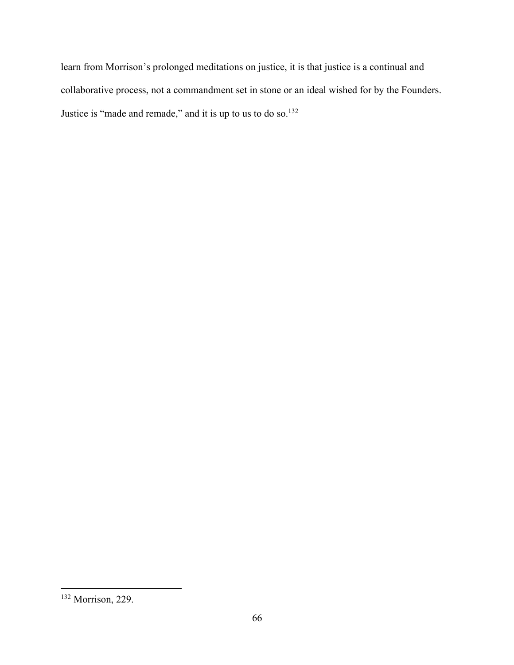learn from Morrison's prolonged meditations on justice, it is that justice is a continual and collaborative process, not a commandment set in stone or an ideal wished for by the Founders. Justice is "made and remade," and it is up to us to do so.<sup>132</sup>

<sup>132</sup> Morrison, 229.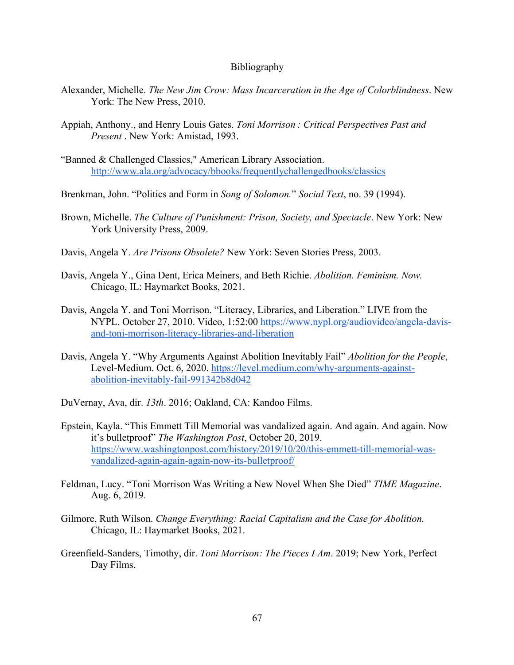## Bibliography

- Alexander, Michelle. *The New Jim Crow: Mass Incarceration in the Age of Colorblindness*. New York: The New Press, 2010.
- Appiah, Anthony., and Henry Louis Gates. *Toni Morrison : Critical Perspectives Past and Present* . New York: Amistad, 1993.
- "Banned & Challenged Classics," American Library Association. http://www.ala.org/advocacy/bbooks/frequentlychallengedbooks/classics
- Brenkman, John. "Politics and Form in *Song of Solomon.*" *Social Text*, no. 39 (1994).
- Brown, Michelle. *The Culture of Punishment: Prison, Society, and Spectacle*. New York: New York University Press, 2009.
- Davis, Angela Y. *Are Prisons Obsolete?* New York: Seven Stories Press, 2003.
- Davis, Angela Y., Gina Dent, Erica Meiners, and Beth Richie. *Abolition. Feminism. Now.*  Chicago, IL: Haymarket Books, 2021.
- Davis, Angela Y. and Toni Morrison. "Literacy, Libraries, and Liberation." LIVE from the NYPL. October 27, 2010. Video, 1:52:00 https://www.nypl.org/audiovideo/angela-davisand-toni-morrison-literacy-libraries-and-liberation
- Davis, Angela Y. "Why Arguments Against Abolition Inevitably Fail" *Abolition for the People*, Level-Medium. Oct. 6, 2020. https://level.medium.com/why-arguments-againstabolition-inevitably-fail-991342b8d042
- DuVernay, Ava, dir. *13th*. 2016; Oakland, CA: Kandoo Films.
- Epstein, Kayla. "This Emmett Till Memorial was vandalized again. And again. And again. Now it's bulletproof" *The Washington Post*, October 20, 2019. https://www.washingtonpost.com/history/2019/10/20/this-emmett-till-memorial-wasvandalized-again-again-again-now-its-bulletproof/
- Feldman, Lucy. "Toni Morrison Was Writing a New Novel When She Died" *TIME Magazine*. Aug. 6, 2019.
- Gilmore, Ruth Wilson. *Change Everything: Racial Capitalism and the Case for Abolition.*  Chicago, IL: Haymarket Books, 2021.
- Greenfield-Sanders, Timothy, dir. *Toni Morrison: The Pieces I Am*. 2019; New York, Perfect Day Films.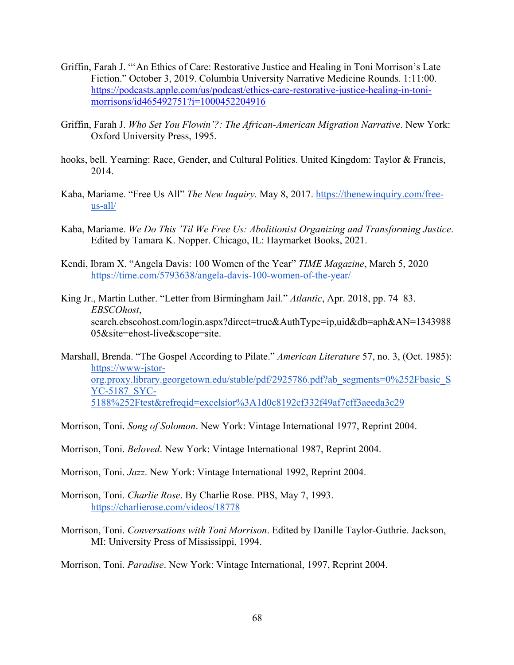- Griffin, Farah J. "'An Ethics of Care: Restorative Justice and Healing in Toni Morrison's Late Fiction." October 3, 2019. Columbia University Narrative Medicine Rounds. 1:11:00. https://podcasts.apple.com/us/podcast/ethics-care-restorative-justice-healing-in-tonimorrisons/id465492751?i=1000452204916
- Griffin, Farah J. *Who Set You Flowin'?: The African-American Migration Narrative*. New York: Oxford University Press, 1995.
- hooks, bell. Yearning: Race, Gender, and Cultural Politics. United Kingdom: Taylor & Francis, 2014.
- Kaba, Mariame. "Free Us All" *The New Inquiry.* May 8, 2017. https://thenewinquiry.com/freeus-all/
- Kaba, Mariame. *We Do This 'Til We Free Us: Abolitionist Organizing and Transforming Justice*. Edited by Tamara K. Nopper. Chicago, IL: Haymarket Books, 2021.
- Kendi, Ibram X. "Angela Davis: 100 Women of the Year" *TIME Magazine*, March 5, 2020 https://time.com/5793638/angela-davis-100-women-of-the-year/
- King Jr., Martin Luther. "Letter from Birmingham Jail." *Atlantic*, Apr. 2018, pp. 74–83. *EBSCOhost*, search.ebscohost.com/login.aspx?direct=true&AuthType=ip,uid&db=aph&AN=1343988 05&site=ehost-live&scope=site.
- Marshall, Brenda. "The Gospel According to Pilate." *American Literature* 57, no. 3, (Oct. 1985): https://www-jstororg.proxy.library.georgetown.edu/stable/pdf/2925786.pdf?ab\_segments=0%252Fbasic\_S YC-5187\_SYC-5188%252Ftest&refreqid=excelsior%3A1d0c8192cf332f49af7cff3aeeda3c29
- Morrison, Toni. *Song of Solomon*. New York: Vintage International 1977, Reprint 2004.
- Morrison, Toni. *Beloved*. New York: Vintage International 1987, Reprint 2004.
- Morrison, Toni. *Jazz*. New York: Vintage International 1992, Reprint 2004.
- Morrison, Toni. *Charlie Rose*. By Charlie Rose. PBS, May 7, 1993. https://charlierose.com/videos/18778
- Morrison, Toni. *Conversations with Toni Morrison*. Edited by Danille Taylor-Guthrie. Jackson, MI: University Press of Mississippi, 1994.
- Morrison, Toni. *Paradise*. New York: Vintage International, 1997, Reprint 2004.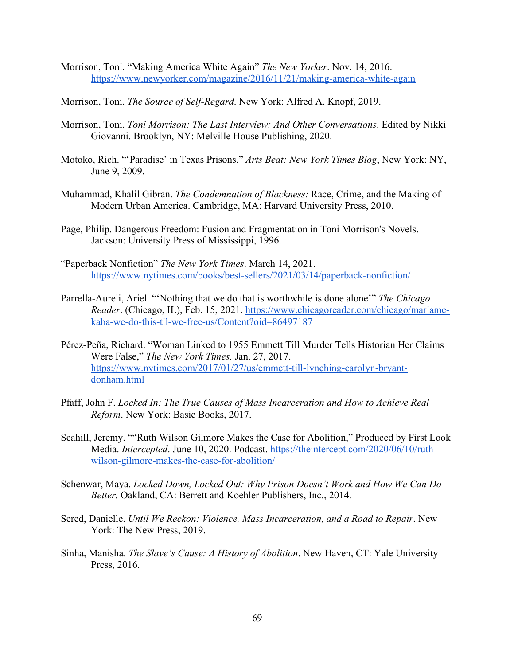- Morrison, Toni. "Making America White Again" *The New Yorker*. Nov. 14, 2016. https://www.newyorker.com/magazine/2016/11/21/making-america-white-again
- Morrison, Toni. *The Source of Self-Regard*. New York: Alfred A. Knopf, 2019.
- Morrison, Toni. *Toni Morrison: The Last Interview: And Other Conversations*. Edited by Nikki Giovanni. Brooklyn, NY: Melville House Publishing, 2020.
- Motoko, Rich. "'Paradise' in Texas Prisons." *Arts Beat: New York Times Blog*, New York: NY, June 9, 2009.
- Muhammad, Khalil Gibran. *The Condemnation of Blackness:* Race, Crime, and the Making of Modern Urban America. Cambridge, MA: Harvard University Press, 2010.
- Page, Philip. Dangerous Freedom: Fusion and Fragmentation in Toni Morrison's Novels. Jackson: University Press of Mississippi, 1996.
- "Paperback Nonfiction" *The New York Times*. March 14, 2021. https://www.nytimes.com/books/best-sellers/2021/03/14/paperback-nonfiction/
- Parrella-Aureli, Ariel. "'Nothing that we do that is worthwhile is done alone'" *The Chicago Reader*. (Chicago, IL), Feb. 15, 2021. https://www.chicagoreader.com/chicago/mariamekaba-we-do-this-til-we-free-us/Content?oid=86497187
- Pérez-Peña, Richard. "Woman Linked to 1955 Emmett Till Murder Tells Historian Her Claims Were False," *The New York Times,* Jan. 27, 2017. https://www.nytimes.com/2017/01/27/us/emmett-till-lynching-carolyn-bryantdonham.html
- Pfaff, John F. *Locked In: The True Causes of Mass Incarceration and How to Achieve Real Reform*. New York: Basic Books, 2017.
- Scahill, Jeremy. ""Ruth Wilson Gilmore Makes the Case for Abolition," Produced by First Look Media. *Intercepted*. June 10, 2020. Podcast. https://theintercept.com/2020/06/10/ruthwilson-gilmore-makes-the-case-for-abolition/
- Schenwar, Maya. *Locked Down, Locked Out: Why Prison Doesn't Work and How We Can Do Better.* Oakland, CA: Berrett and Koehler Publishers, Inc., 2014.
- Sered, Danielle. *Until We Reckon: Violence, Mass Incarceration, and a Road to Repair*. New York: The New Press, 2019.
- Sinha, Manisha. *The Slave's Cause: A History of Abolition*. New Haven, CT: Yale University Press, 2016.